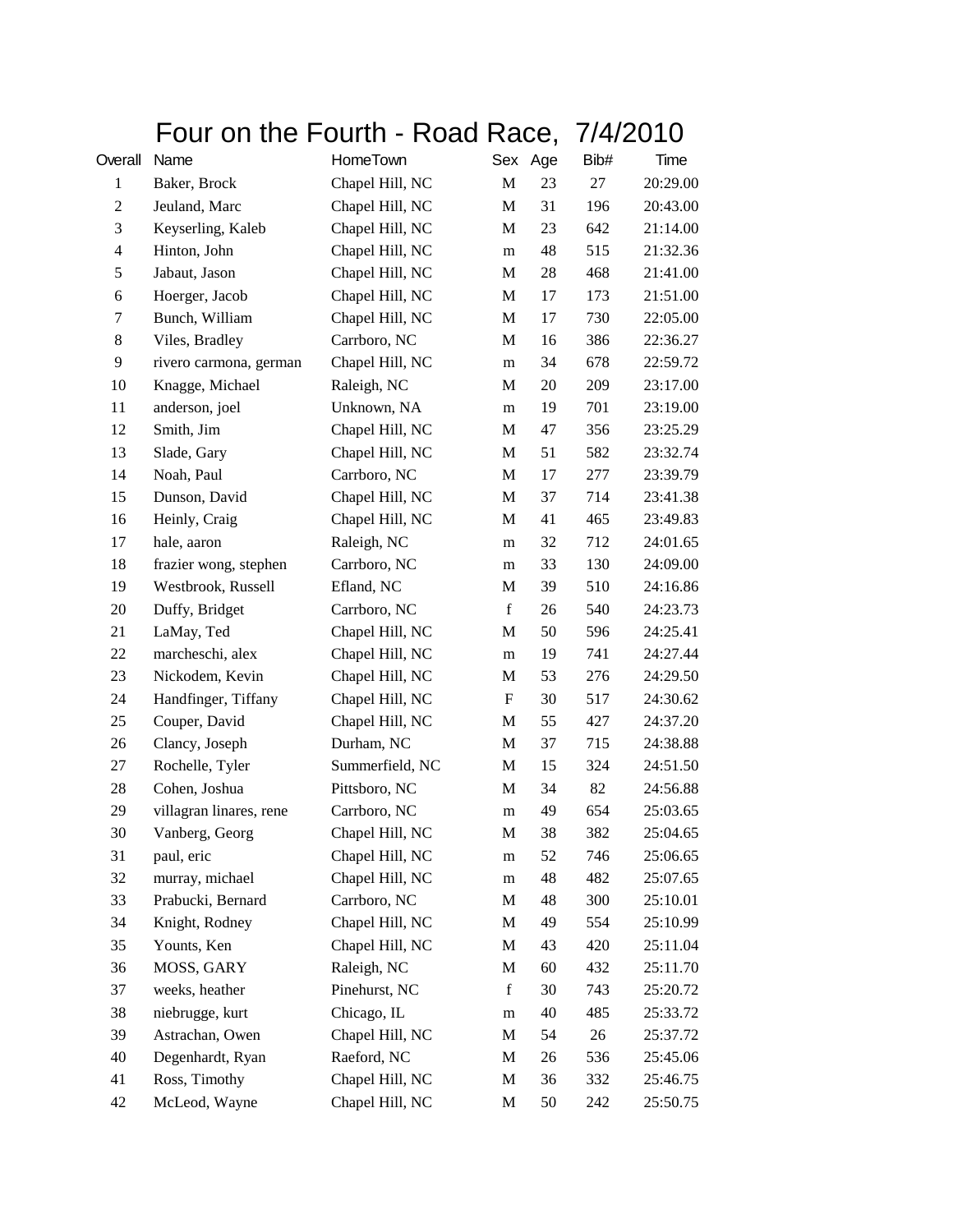|                | Four on the Fourth - Road Race, 7/4/2010 |                 |             |    |      |          |
|----------------|------------------------------------------|-----------------|-------------|----|------|----------|
| Overall        | Name                                     | HomeTown        | Sex Age     |    | Bib# | Time     |
| 1              | Baker, Brock                             | Chapel Hill, NC | $\mathbf M$ | 23 | 27   | 20:29.00 |
| $\overline{c}$ | Jeuland, Marc                            | Chapel Hill, NC | M           | 31 | 196  | 20:43.00 |
| 3              | Keyserling, Kaleb                        | Chapel Hill, NC | M           | 23 | 642  | 21:14.00 |
| 4              | Hinton, John                             | Chapel Hill, NC | m           | 48 | 515  | 21:32.36 |
| 5              | Jabaut, Jason                            | Chapel Hill, NC | М           | 28 | 468  | 21:41.00 |
| 6              | Hoerger, Jacob                           | Chapel Hill, NC | M           | 17 | 173  | 21:51.00 |
| 7              | Bunch, William                           | Chapel Hill, NC | M           | 17 | 730  | 22:05.00 |
| 8              | Viles, Bradley                           | Carrboro, NC    | M           | 16 | 386  | 22:36.27 |
| 9              | rivero carmona, german                   | Chapel Hill, NC | m           | 34 | 678  | 22:59.72 |
| 10             | Knagge, Michael                          | Raleigh, NC     | М           | 20 | 209  | 23:17.00 |
| 11             | anderson, joel                           | Unknown, NA     | m           | 19 | 701  | 23:19.00 |
| 12             | Smith, Jim                               | Chapel Hill, NC | M           | 47 | 356  | 23:25.29 |
| 13             | Slade, Gary                              | Chapel Hill, NC | M           | 51 | 582  | 23:32.74 |
| 14             | Noah, Paul                               | Carrboro, NC    | M           | 17 | 277  | 23:39.79 |
| 15             | Dunson, David                            | Chapel Hill, NC | М           | 37 | 714  | 23:41.38 |
| 16             | Heinly, Craig                            | Chapel Hill, NC | М           | 41 | 465  | 23:49.83 |
| 17             | hale, aaron                              | Raleigh, NC     | m           | 32 | 712  | 24:01.65 |
| 18             | frazier wong, stephen                    | Carrboro, NC    | m           | 33 | 130  | 24:09.00 |
| 19             | Westbrook, Russell                       | Efland, NC      | M           | 39 | 510  | 24:16.86 |
| 20             | Duffy, Bridget                           | Carrboro, NC    | $\mathbf f$ | 26 | 540  | 24:23.73 |
| 21             | LaMay, Ted                               | Chapel Hill, NC | M           | 50 | 596  | 24:25.41 |
| 22             | marcheschi, alex                         | Chapel Hill, NC | m           | 19 | 741  | 24:27.44 |
| 23             | Nickodem, Kevin                          | Chapel Hill, NC | M           | 53 | 276  | 24:29.50 |
| 24             | Handfinger, Tiffany                      | Chapel Hill, NC | F           | 30 | 517  | 24:30.62 |
| 25             | Couper, David                            | Chapel Hill, NC | M           | 55 | 427  | 24:37.20 |
| 26             | Clancy, Joseph                           | Durham, NC      | M           | 37 | 715  | 24:38.88 |
| 27             | Rochelle, Tyler                          | Summerfield, NC | M           | 15 | 324  | 24:51.50 |
| 28             | Cohen, Joshua                            | Pittsboro, NC   | M           | 34 | 82   | 24:56.88 |
| 29             | villagran linares, rene                  | Carrboro, NC    | m           | 49 | 654  | 25:03.65 |
| 30             | Vanberg, Georg                           | Chapel Hill, NC | M           | 38 | 382  | 25:04.65 |
| 31             | paul, eric                               | Chapel Hill, NC | m           | 52 | 746  | 25:06.65 |
| 32             | murray, michael                          | Chapel Hill, NC | m           | 48 | 482  | 25:07.65 |
| 33             | Prabucki, Bernard                        | Carrboro, NC    | M           | 48 | 300  | 25:10.01 |
| 34             | Knight, Rodney                           | Chapel Hill, NC | M           | 49 | 554  | 25:10.99 |
| 35             | Younts, Ken                              | Chapel Hill, NC | M           | 43 | 420  | 25:11.04 |
| 36             | MOSS, GARY                               | Raleigh, NC     | M           | 60 | 432  | 25:11.70 |
| 37             | weeks, heather                           | Pinehurst, NC   | $\mathbf f$ | 30 | 743  | 25:20.72 |
| 38             | niebrugge, kurt                          | Chicago, IL     | m           | 40 | 485  | 25:33.72 |
| 39             | Astrachan, Owen                          | Chapel Hill, NC | M           | 54 | 26   | 25:37.72 |
| 40             | Degenhardt, Ryan                         | Raeford, NC     | M           | 26 | 536  | 25:45.06 |
| 41             | Ross, Timothy                            | Chapel Hill, NC | M           | 36 | 332  | 25:46.75 |
| 42             | McLeod, Wayne                            | Chapel Hill, NC | M           | 50 | 242  | 25:50.75 |
|                |                                          |                 |             |    |      |          |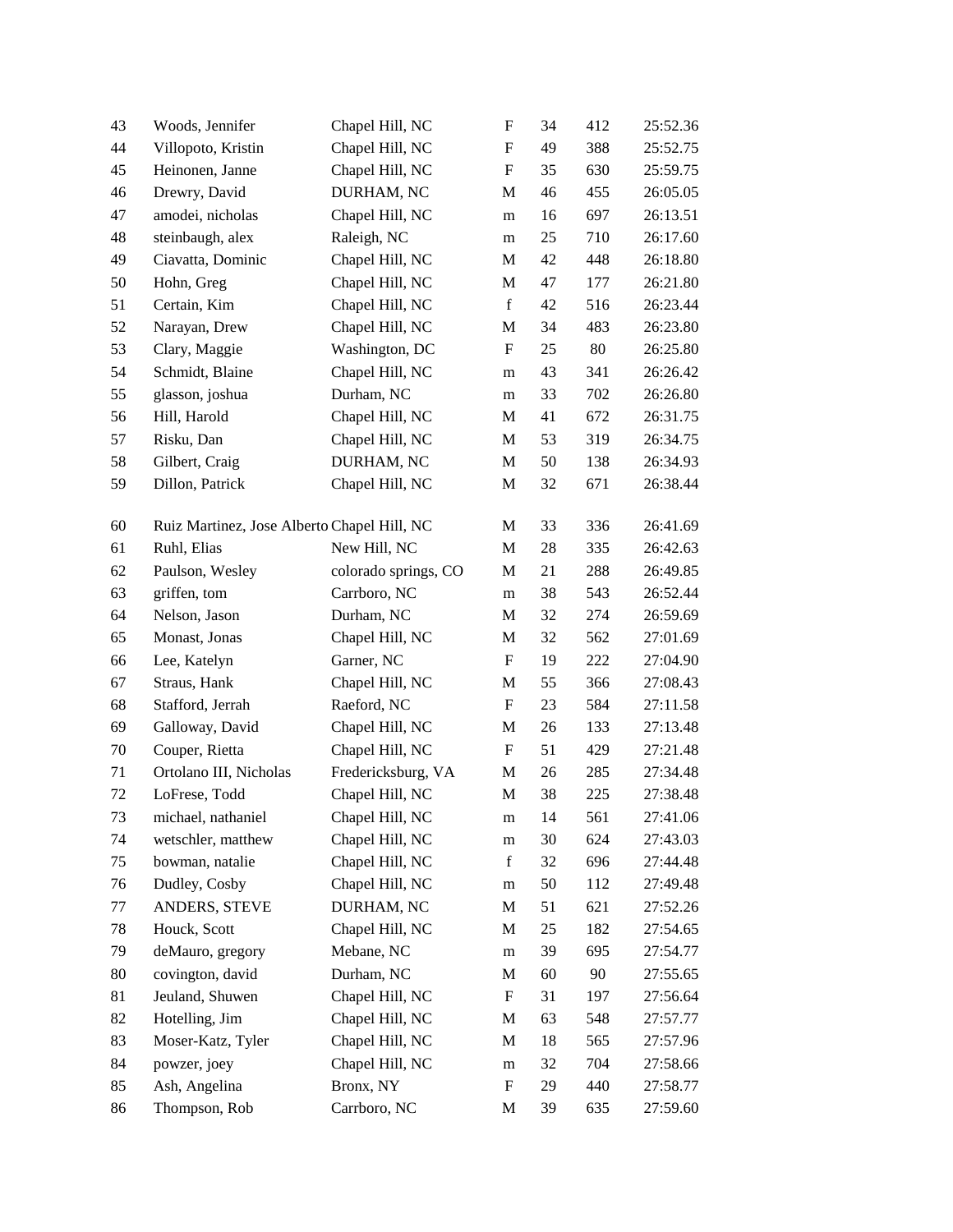| 43 | Woods, Jennifer                             | Chapel Hill, NC      | $\boldsymbol{\mathrm{F}}$ | 34 | 412 | 25:52.36 |
|----|---------------------------------------------|----------------------|---------------------------|----|-----|----------|
| 44 | Villopoto, Kristin                          | Chapel Hill, NC      | F                         | 49 | 388 | 25:52.75 |
| 45 | Heinonen, Janne                             | Chapel Hill, NC      | F                         | 35 | 630 | 25:59.75 |
| 46 | Drewry, David                               | DURHAM, NC           | M                         | 46 | 455 | 26:05.05 |
| 47 | amodei, nicholas                            | Chapel Hill, NC      | m                         | 16 | 697 | 26:13.51 |
| 48 | steinbaugh, alex                            | Raleigh, NC          | m                         | 25 | 710 | 26:17.60 |
| 49 | Ciavatta, Dominic                           | Chapel Hill, NC      | M                         | 42 | 448 | 26:18.80 |
| 50 | Hohn, Greg                                  | Chapel Hill, NC      | M                         | 47 | 177 | 26:21.80 |
| 51 | Certain, Kim                                | Chapel Hill, NC      | $\mathbf f$               | 42 | 516 | 26:23.44 |
| 52 | Narayan, Drew                               | Chapel Hill, NC      | M                         | 34 | 483 | 26:23.80 |
| 53 | Clary, Maggie                               | Washington, DC       | F                         | 25 | 80  | 26:25.80 |
| 54 | Schmidt, Blaine                             | Chapel Hill, NC      | m                         | 43 | 341 | 26:26.42 |
| 55 | glasson, joshua                             | Durham, NC           | m                         | 33 | 702 | 26:26.80 |
| 56 | Hill, Harold                                | Chapel Hill, NC      | M                         | 41 | 672 | 26:31.75 |
| 57 | Risku, Dan                                  | Chapel Hill, NC      | M                         | 53 | 319 | 26:34.75 |
| 58 | Gilbert, Craig                              | DURHAM, NC           | M                         | 50 | 138 | 26:34.93 |
| 59 | Dillon, Patrick                             | Chapel Hill, NC      | M                         | 32 | 671 | 26:38.44 |
| 60 | Ruiz Martinez, Jose Alberto Chapel Hill, NC |                      | M                         | 33 | 336 | 26:41.69 |
| 61 | Ruhl, Elias                                 | New Hill, NC         | M                         | 28 | 335 | 26:42.63 |
| 62 | Paulson, Wesley                             | colorado springs, CO | M                         | 21 | 288 | 26:49.85 |
| 63 | griffen, tom                                | Carrboro, NC         | m                         | 38 | 543 | 26:52.44 |
| 64 | Nelson, Jason                               | Durham, NC           | M                         | 32 | 274 | 26:59.69 |
| 65 | Monast, Jonas                               | Chapel Hill, NC      | $\mathbf M$               | 32 | 562 | 27:01.69 |
| 66 | Lee, Katelyn                                | Garner, NC           | F                         | 19 | 222 | 27:04.90 |
| 67 | Straus, Hank                                | Chapel Hill, NC      | M                         | 55 | 366 | 27:08.43 |
| 68 | Stafford, Jerrah                            | Raeford, NC          | $\boldsymbol{\mathrm{F}}$ | 23 | 584 | 27:11.58 |
| 69 | Galloway, David                             | Chapel Hill, NC      | M                         | 26 | 133 | 27:13.48 |
| 70 | Couper, Rietta                              | Chapel Hill, NC      | F                         | 51 | 429 | 27:21.48 |
| 71 | Ortolano III, Nicholas                      | Fredericksburg, VA   | M                         | 26 | 285 | 27:34.48 |
| 72 | LoFrese, Todd                               | Chapel Hill, NC      | M                         | 38 | 225 | 27:38.48 |
| 73 | michael, nathaniel                          | Chapel Hill, NC      | $\mathbf{m}$              | 14 | 561 | 27:41.06 |
| 74 | wetschler, matthew                          | Chapel Hill, NC      | m                         | 30 | 624 | 27:43.03 |
| 75 | bowman, natalie                             | Chapel Hill, NC      | $\mathbf f$               | 32 | 696 | 27:44.48 |
| 76 | Dudley, Cosby                               | Chapel Hill, NC      | m                         | 50 | 112 | 27:49.48 |
| 77 | ANDERS, STEVE                               | DURHAM, NC           | M                         | 51 | 621 | 27:52.26 |
| 78 | Houck, Scott                                | Chapel Hill, NC      | M                         | 25 | 182 | 27:54.65 |
| 79 | deMauro, gregory                            | Mebane, NC           | m                         | 39 | 695 | 27:54.77 |
| 80 | covington, david                            | Durham, NC           | M                         | 60 | 90  | 27:55.65 |
| 81 | Jeuland, Shuwen                             | Chapel Hill, NC      | F                         | 31 | 197 | 27:56.64 |
| 82 | Hotelling, Jim                              | Chapel Hill, NC      | M                         | 63 | 548 | 27:57.77 |
| 83 | Moser-Katz, Tyler                           | Chapel Hill, NC      | M                         | 18 | 565 | 27:57.96 |
| 84 | powzer, joey                                | Chapel Hill, NC      | m                         | 32 | 704 | 27:58.66 |
| 85 | Ash, Angelina                               | Bronx, NY            | F                         | 29 | 440 | 27:58.77 |
| 86 | Thompson, Rob                               | Carrboro, NC         | M                         | 39 | 635 | 27:59.60 |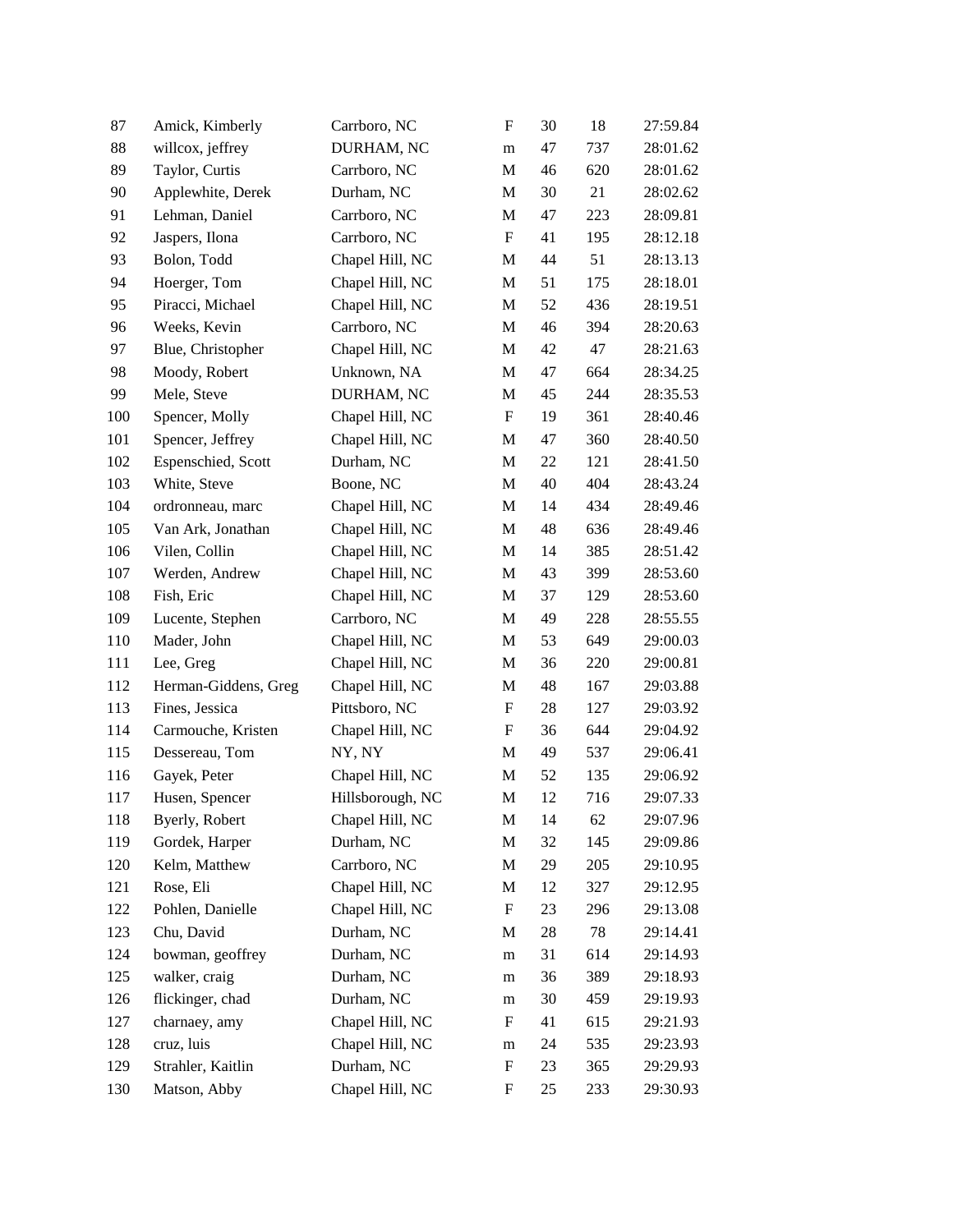| 87  | Amick, Kimberly      | Carrboro, NC     | F                         | 30 | 18  | 27:59.84 |
|-----|----------------------|------------------|---------------------------|----|-----|----------|
| 88  | willcox, jeffrey     | DURHAM, NC       | m                         | 47 | 737 | 28:01.62 |
| 89  | Taylor, Curtis       | Carrboro, NC     | M                         | 46 | 620 | 28:01.62 |
| 90  | Applewhite, Derek    | Durham, NC       | M                         | 30 | 21  | 28:02.62 |
| 91  | Lehman, Daniel       | Carrboro, NC     | M                         | 47 | 223 | 28:09.81 |
| 92  | Jaspers, Ilona       | Carrboro, NC     | $\boldsymbol{\mathrm{F}}$ | 41 | 195 | 28:12.18 |
| 93  | Bolon, Todd          | Chapel Hill, NC  | M                         | 44 | 51  | 28:13.13 |
| 94  | Hoerger, Tom         | Chapel Hill, NC  | M                         | 51 | 175 | 28:18.01 |
| 95  | Piracci, Michael     | Chapel Hill, NC  | M                         | 52 | 436 | 28:19.51 |
| 96  | Weeks, Kevin         | Carrboro, NC     | M                         | 46 | 394 | 28:20.63 |
| 97  | Blue, Christopher    | Chapel Hill, NC  | M                         | 42 | 47  | 28:21.63 |
| 98  | Moody, Robert        | Unknown, NA      | M                         | 47 | 664 | 28:34.25 |
| 99  | Mele, Steve          | DURHAM, NC       | $\mathbf M$               | 45 | 244 | 28:35.53 |
| 100 | Spencer, Molly       | Chapel Hill, NC  | F                         | 19 | 361 | 28:40.46 |
| 101 | Spencer, Jeffrey     | Chapel Hill, NC  | M                         | 47 | 360 | 28:40.50 |
| 102 | Espenschied, Scott   | Durham, NC       | M                         | 22 | 121 | 28:41.50 |
| 103 | White, Steve         | Boone, NC        | M                         | 40 | 404 | 28:43.24 |
| 104 | ordronneau, marc     | Chapel Hill, NC  | M                         | 14 | 434 | 28:49.46 |
| 105 | Van Ark, Jonathan    | Chapel Hill, NC  | M                         | 48 | 636 | 28:49.46 |
| 106 | Vilen, Collin        | Chapel Hill, NC  | M                         | 14 | 385 | 28:51.42 |
| 107 | Werden, Andrew       | Chapel Hill, NC  | M                         | 43 | 399 | 28:53.60 |
| 108 | Fish, Eric           | Chapel Hill, NC  | M                         | 37 | 129 | 28:53.60 |
| 109 | Lucente, Stephen     | Carrboro, NC     | M                         | 49 | 228 | 28:55.55 |
| 110 | Mader, John          | Chapel Hill, NC  | M                         | 53 | 649 | 29:00.03 |
| 111 | Lee, Greg            | Chapel Hill, NC  | M                         | 36 | 220 | 29:00.81 |
| 112 | Herman-Giddens, Greg | Chapel Hill, NC  | M                         | 48 | 167 | 29:03.88 |
| 113 | Fines, Jessica       | Pittsboro, NC    | F                         | 28 | 127 | 29:03.92 |
| 114 | Carmouche, Kristen   | Chapel Hill, NC  | F                         | 36 | 644 | 29:04.92 |
| 115 | Dessereau, Tom       | NY, NY           | M                         | 49 | 537 | 29:06.41 |
| 116 | Gayek, Peter         | Chapel Hill, NC  | M                         | 52 | 135 | 29:06.92 |
| 117 | Husen, Spencer       | Hillsborough, NC | M                         | 12 | 716 | 29:07.33 |
| 118 | Byerly, Robert       | Chapel Hill, NC  | M                         | 14 | 62  | 29:07.96 |
| 119 | Gordek, Harper       | Durham, NC       | $\mathbf M$               | 32 | 145 | 29:09.86 |
| 120 | Kelm, Matthew        | Carrboro, NC     | M                         | 29 | 205 | 29:10.95 |
| 121 | Rose, Eli            | Chapel Hill, NC  | M                         | 12 | 327 | 29:12.95 |
| 122 | Pohlen, Danielle     | Chapel Hill, NC  | $\boldsymbol{\mathrm{F}}$ | 23 | 296 | 29:13.08 |
| 123 | Chu, David           | Durham, NC       | M                         | 28 | 78  | 29:14.41 |
| 124 | bowman, geoffrey     | Durham, NC       | m                         | 31 | 614 | 29:14.93 |
| 125 | walker, craig        | Durham, NC       | m                         | 36 | 389 | 29:18.93 |
| 126 | flickinger, chad     | Durham, NC       | m                         | 30 | 459 | 29:19.93 |
| 127 | charnaey, amy        | Chapel Hill, NC  | F                         | 41 | 615 | 29:21.93 |
| 128 | cruz, luis           | Chapel Hill, NC  | m                         | 24 | 535 | 29:23.93 |
| 129 | Strahler, Kaitlin    | Durham, NC       | F                         | 23 | 365 | 29:29.93 |
| 130 | Matson, Abby         | Chapel Hill, NC  | F                         | 25 | 233 | 29:30.93 |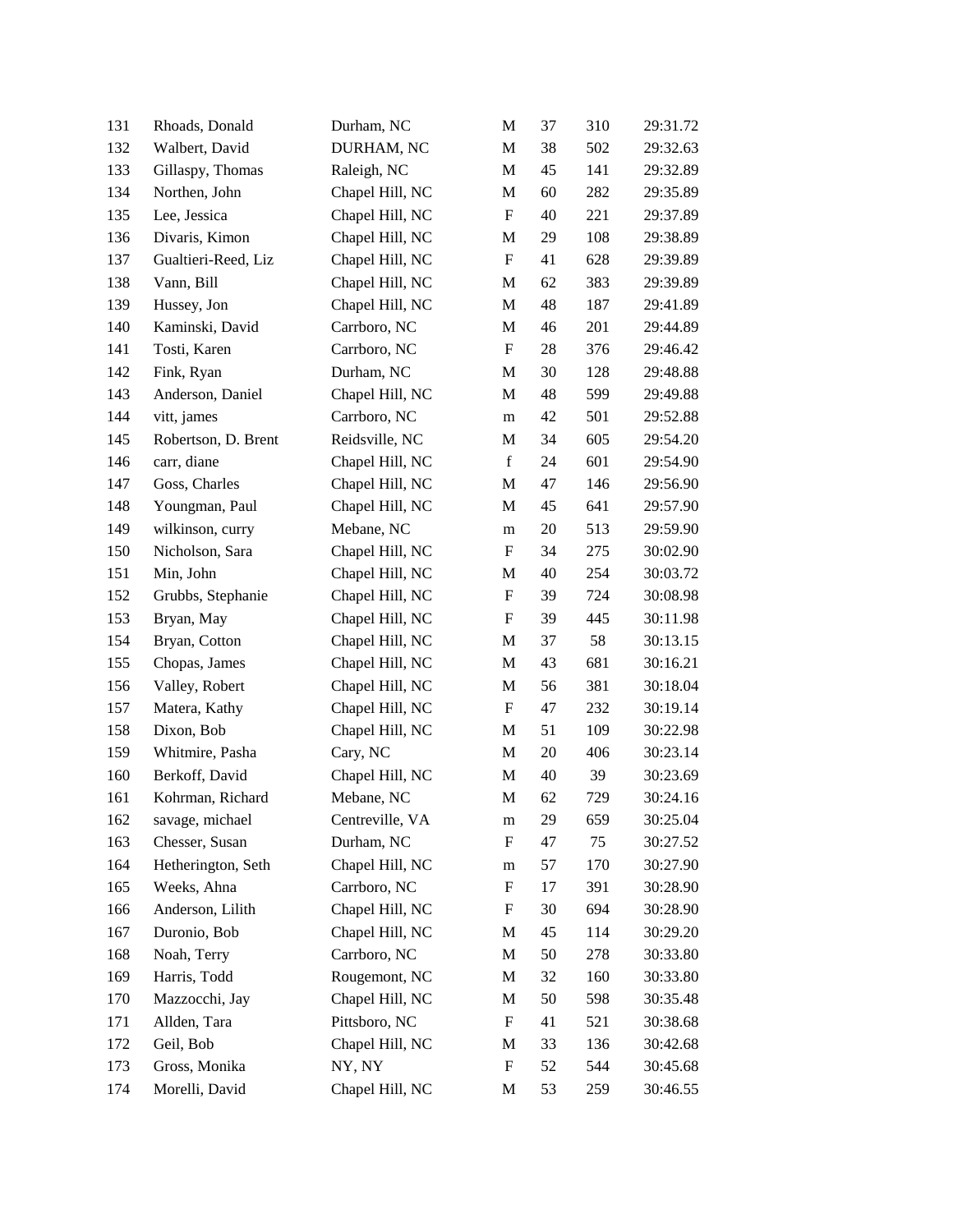| 131 | Rhoads, Donald      | Durham, NC      | M           | 37 | 310 | 29:31.72 |
|-----|---------------------|-----------------|-------------|----|-----|----------|
| 132 | Walbert, David      | DURHAM, NC      | M           | 38 | 502 | 29:32.63 |
| 133 | Gillaspy, Thomas    | Raleigh, NC     | M           | 45 | 141 | 29:32.89 |
| 134 | Northen, John       | Chapel Hill, NC | M           | 60 | 282 | 29:35.89 |
| 135 | Lee, Jessica        | Chapel Hill, NC | F           | 40 | 221 | 29:37.89 |
| 136 | Divaris, Kimon      | Chapel Hill, NC | M           | 29 | 108 | 29:38.89 |
| 137 | Gualtieri-Reed, Liz | Chapel Hill, NC | F           | 41 | 628 | 29:39.89 |
| 138 | Vann, Bill          | Chapel Hill, NC | M           | 62 | 383 | 29:39.89 |
| 139 | Hussey, Jon         | Chapel Hill, NC | M           | 48 | 187 | 29:41.89 |
| 140 | Kaminski, David     | Carrboro, NC    | M           | 46 | 201 | 29:44.89 |
| 141 | Tosti, Karen        | Carrboro, NC    | F           | 28 | 376 | 29:46.42 |
| 142 | Fink, Ryan          | Durham, NC      | M           | 30 | 128 | 29:48.88 |
| 143 | Anderson, Daniel    | Chapel Hill, NC | M           | 48 | 599 | 29:49.88 |
| 144 | vitt, james         | Carrboro, NC    | m           | 42 | 501 | 29:52.88 |
| 145 | Robertson, D. Brent | Reidsville, NC  | M           | 34 | 605 | 29:54.20 |
| 146 | carr, diane         | Chapel Hill, NC | $\mathbf f$ | 24 | 601 | 29:54.90 |
| 147 | Goss, Charles       | Chapel Hill, NC | M           | 47 | 146 | 29:56.90 |
| 148 | Youngman, Paul      | Chapel Hill, NC | M           | 45 | 641 | 29:57.90 |
| 149 | wilkinson, curry    | Mebane, NC      | m           | 20 | 513 | 29:59.90 |
| 150 | Nicholson, Sara     | Chapel Hill, NC | F           | 34 | 275 | 30:02.90 |
| 151 | Min, John           | Chapel Hill, NC | M           | 40 | 254 | 30:03.72 |
| 152 | Grubbs, Stephanie   | Chapel Hill, NC | F           | 39 | 724 | 30:08.98 |
| 153 | Bryan, May          | Chapel Hill, NC | F           | 39 | 445 | 30:11.98 |
| 154 | Bryan, Cotton       | Chapel Hill, NC | M           | 37 | 58  | 30:13.15 |
| 155 | Chopas, James       | Chapel Hill, NC | M           | 43 | 681 | 30:16.21 |
| 156 | Valley, Robert      | Chapel Hill, NC | M           | 56 | 381 | 30:18.04 |
| 157 | Matera, Kathy       | Chapel Hill, NC | F           | 47 | 232 | 30:19.14 |
| 158 | Dixon, Bob          | Chapel Hill, NC | M           | 51 | 109 | 30:22.98 |
| 159 | Whitmire, Pasha     | Cary, NC        | M           | 20 | 406 | 30:23.14 |
| 160 | Berkoff, David      | Chapel Hill, NC | M           | 40 | 39  | 30:23.69 |
| 161 | Kohrman, Richard    | Mebane, NC      | M           | 62 | 729 | 30:24.16 |
| 162 | savage, michael     | Centreville, VA | m           | 29 | 659 | 30:25.04 |
| 163 | Chesser, Susan      | Durham, NC      | F           | 47 | 75  | 30:27.52 |
| 164 | Hetherington, Seth  | Chapel Hill, NC | m           | 57 | 170 | 30:27.90 |
| 165 | Weeks, Ahna         | Carrboro, NC    | F           | 17 | 391 | 30:28.90 |
| 166 | Anderson, Lilith    | Chapel Hill, NC | F           | 30 | 694 | 30:28.90 |
| 167 | Duronio, Bob        | Chapel Hill, NC | M           | 45 | 114 | 30:29.20 |
| 168 | Noah, Terry         | Carrboro, NC    | M           | 50 | 278 | 30:33.80 |
| 169 | Harris, Todd        | Rougemont, NC   | M           | 32 | 160 | 30:33.80 |
| 170 | Mazzocchi, Jay      | Chapel Hill, NC | M           | 50 | 598 | 30:35.48 |
| 171 | Allden, Tara        | Pittsboro, NC   | F           | 41 | 521 | 30:38.68 |
| 172 | Geil, Bob           | Chapel Hill, NC | M           | 33 | 136 | 30:42.68 |
| 173 | Gross, Monika       | NY, NY          | F           | 52 | 544 | 30:45.68 |
| 174 | Morelli, David      | Chapel Hill, NC | M           | 53 | 259 | 30:46.55 |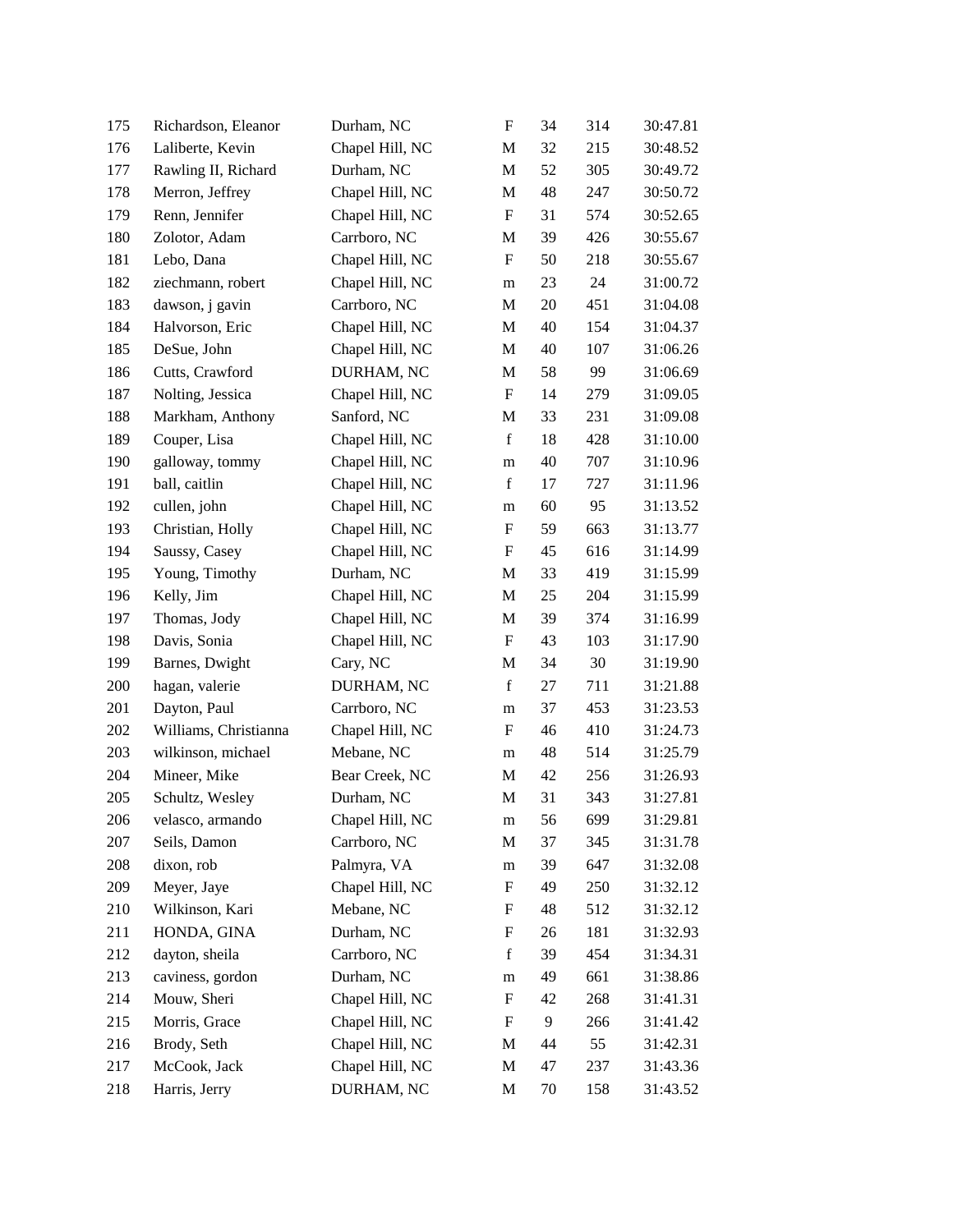| 175 | Richardson, Eleanor   | Durham, NC      | $\boldsymbol{\mathrm{F}}$ | 34 | 314 | 30:47.81 |
|-----|-----------------------|-----------------|---------------------------|----|-----|----------|
| 176 | Laliberte, Kevin      | Chapel Hill, NC | M                         | 32 | 215 | 30:48.52 |
| 177 | Rawling II, Richard   | Durham, NC      | M                         | 52 | 305 | 30:49.72 |
| 178 | Merron, Jeffrey       | Chapel Hill, NC | M                         | 48 | 247 | 30:50.72 |
| 179 | Renn, Jennifer        | Chapel Hill, NC | F                         | 31 | 574 | 30:52.65 |
| 180 | Zolotor, Adam         | Carrboro, NC    | M                         | 39 | 426 | 30:55.67 |
| 181 | Lebo, Dana            | Chapel Hill, NC | F                         | 50 | 218 | 30:55.67 |
| 182 | ziechmann, robert     | Chapel Hill, NC | m                         | 23 | 24  | 31:00.72 |
| 183 | dawson, j gavin       | Carrboro, NC    | M                         | 20 | 451 | 31:04.08 |
| 184 | Halvorson, Eric       | Chapel Hill, NC | M                         | 40 | 154 | 31:04.37 |
| 185 | DeSue, John           | Chapel Hill, NC | M                         | 40 | 107 | 31:06.26 |
| 186 | Cutts, Crawford       | DURHAM, NC      | M                         | 58 | 99  | 31:06.69 |
| 187 | Nolting, Jessica      | Chapel Hill, NC | $\boldsymbol{\mathrm{F}}$ | 14 | 279 | 31:09.05 |
| 188 | Markham, Anthony      | Sanford, NC     | M                         | 33 | 231 | 31:09.08 |
| 189 | Couper, Lisa          | Chapel Hill, NC | $\mathbf f$               | 18 | 428 | 31:10.00 |
| 190 | galloway, tommy       | Chapel Hill, NC | m                         | 40 | 707 | 31:10.96 |
| 191 | ball, caitlin         | Chapel Hill, NC | f                         | 17 | 727 | 31:11.96 |
| 192 | cullen, john          | Chapel Hill, NC | m                         | 60 | 95  | 31:13.52 |
| 193 | Christian, Holly      | Chapel Hill, NC | F                         | 59 | 663 | 31:13.77 |
| 194 | Saussy, Casey         | Chapel Hill, NC | F                         | 45 | 616 | 31:14.99 |
| 195 | Young, Timothy        | Durham, NC      | M                         | 33 | 419 | 31:15.99 |
| 196 | Kelly, Jim            | Chapel Hill, NC | M                         | 25 | 204 | 31:15.99 |
| 197 | Thomas, Jody          | Chapel Hill, NC | M                         | 39 | 374 | 31:16.99 |
| 198 | Davis, Sonia          | Chapel Hill, NC | F                         | 43 | 103 | 31:17.90 |
| 199 | Barnes, Dwight        | Cary, NC        | M                         | 34 | 30  | 31:19.90 |
| 200 | hagan, valerie        | DURHAM, NC      | $\mathbf f$               | 27 | 711 | 31:21.88 |
| 201 | Dayton, Paul          | Carrboro, NC    | m                         | 37 | 453 | 31:23.53 |
| 202 | Williams, Christianna | Chapel Hill, NC | F                         | 46 | 410 | 31:24.73 |
| 203 | wilkinson, michael    | Mebane, NC      | m                         | 48 | 514 | 31:25.79 |
| 204 | Mineer, Mike          | Bear Creek, NC  | M                         | 42 | 256 | 31:26.93 |
| 205 | Schultz, Wesley       | Durham, NC      | M                         | 31 | 343 | 31:27.81 |
| 206 | velasco, armando      | Chapel Hill, NC | ${\bf m}$                 | 56 | 699 | 31:29.81 |
| 207 | Seils, Damon          | Carrboro, NC    | M                         | 37 | 345 | 31:31.78 |
| 208 | dixon, rob            | Palmyra, VA     | m                         | 39 | 647 | 31:32.08 |
| 209 | Meyer, Jaye           | Chapel Hill, NC | F                         | 49 | 250 | 31:32.12 |
| 210 | Wilkinson, Kari       | Mebane, NC      | F                         | 48 | 512 | 31:32.12 |
| 211 | HONDA, GINA           | Durham, NC      | F                         | 26 | 181 | 31:32.93 |
| 212 | dayton, sheila        | Carrboro, NC    | $\mathbf f$               | 39 | 454 | 31:34.31 |
| 213 | caviness, gordon      | Durham, NC      | m                         | 49 | 661 | 31:38.86 |
| 214 | Mouw, Sheri           | Chapel Hill, NC | F                         | 42 | 268 | 31:41.31 |
| 215 | Morris, Grace         | Chapel Hill, NC | F                         | 9  | 266 | 31:41.42 |
| 216 | Brody, Seth           | Chapel Hill, NC | M                         | 44 | 55  | 31:42.31 |
| 217 | McCook, Jack          | Chapel Hill, NC | M                         | 47 | 237 | 31:43.36 |
| 218 | Harris, Jerry         | DURHAM, NC      | M                         | 70 | 158 | 31:43.52 |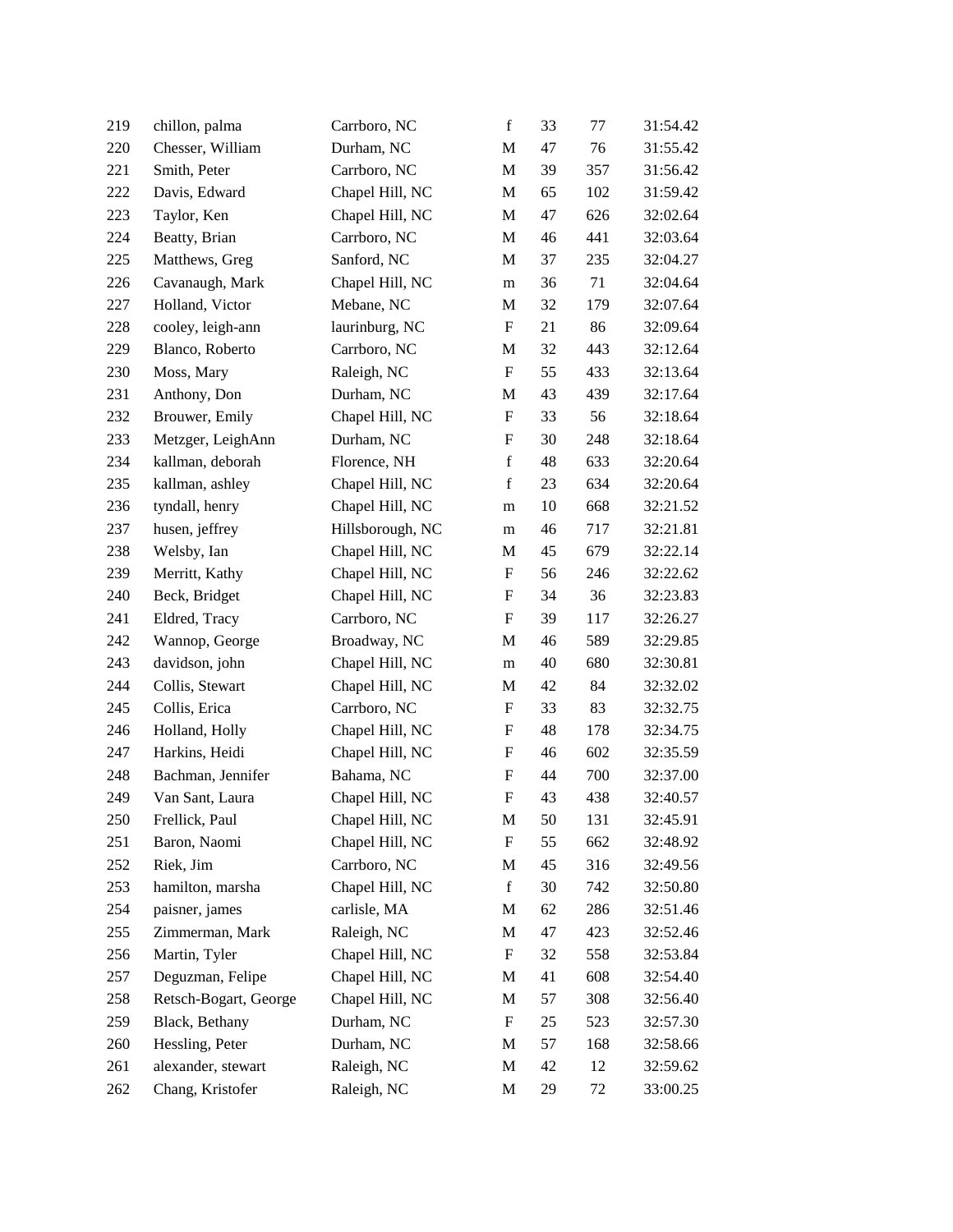| 219 | chillon, palma        | Carrboro, NC     | $\mathbf f$ | 33 | 77  | 31:54.42 |
|-----|-----------------------|------------------|-------------|----|-----|----------|
| 220 | Chesser, William      | Durham, NC       | M           | 47 | 76  | 31:55.42 |
| 221 | Smith, Peter          | Carrboro, NC     | M           | 39 | 357 | 31:56.42 |
| 222 | Davis, Edward         | Chapel Hill, NC  | M           | 65 | 102 | 31:59.42 |
| 223 | Taylor, Ken           | Chapel Hill, NC  | M           | 47 | 626 | 32:02.64 |
| 224 | Beatty, Brian         | Carrboro, NC     | M           | 46 | 441 | 32:03.64 |
| 225 | Matthews, Greg        | Sanford, NC      | M           | 37 | 235 | 32:04.27 |
| 226 | Cavanaugh, Mark       | Chapel Hill, NC  | m           | 36 | 71  | 32:04.64 |
| 227 | Holland, Victor       | Mebane, NC       | M           | 32 | 179 | 32:07.64 |
| 228 | cooley, leigh-ann     | laurinburg, NC   | F           | 21 | 86  | 32:09.64 |
| 229 | Blanco, Roberto       | Carrboro, NC     | M           | 32 | 443 | 32:12.64 |
| 230 | Moss, Mary            | Raleigh, NC      | F           | 55 | 433 | 32:13.64 |
| 231 | Anthony, Don          | Durham, NC       | M           | 43 | 439 | 32:17.64 |
| 232 | Brouwer, Emily        | Chapel Hill, NC  | F           | 33 | 56  | 32:18.64 |
| 233 | Metzger, LeighAnn     | Durham, NC       | F           | 30 | 248 | 32:18.64 |
| 234 | kallman, deborah      | Florence, NH     | $\mathbf f$ | 48 | 633 | 32:20.64 |
| 235 | kallman, ashley       | Chapel Hill, NC  | $\mathbf f$ | 23 | 634 | 32:20.64 |
| 236 | tyndall, henry        | Chapel Hill, NC  | m           | 10 | 668 | 32:21.52 |
| 237 | husen, jeffrey        | Hillsborough, NC | m           | 46 | 717 | 32:21.81 |
| 238 | Welsby, Ian           | Chapel Hill, NC  | M           | 45 | 679 | 32:22.14 |
| 239 | Merritt, Kathy        | Chapel Hill, NC  | F           | 56 | 246 | 32:22.62 |
| 240 | Beck, Bridget         | Chapel Hill, NC  | F           | 34 | 36  | 32:23.83 |
| 241 | Eldred, Tracy         | Carrboro, NC     | F           | 39 | 117 | 32:26.27 |
| 242 | Wannop, George        | Broadway, NC     | M           | 46 | 589 | 32:29.85 |
| 243 | davidson, john        | Chapel Hill, NC  | m           | 40 | 680 | 32:30.81 |
| 244 | Collis, Stewart       | Chapel Hill, NC  | M           | 42 | 84  | 32:32.02 |
| 245 | Collis, Erica         | Carrboro, NC     | F           | 33 | 83  | 32:32.75 |
| 246 | Holland, Holly        | Chapel Hill, NC  | F           | 48 | 178 | 32:34.75 |
| 247 | Harkins, Heidi        | Chapel Hill, NC  | F           | 46 | 602 | 32:35.59 |
| 248 | Bachman, Jennifer     | Bahama, NC       | F           | 44 | 700 | 32:37.00 |
| 249 | Van Sant, Laura       | Chapel Hill, NC  | F           | 43 | 438 | 32:40.57 |
| 250 | Frellick, Paul        | Chapel Hill, NC  | M           | 50 | 131 | 32:45.91 |
| 251 | Baron, Naomi          | Chapel Hill, NC  | F           | 55 | 662 | 32:48.92 |
| 252 | Riek, Jim             | Carrboro, NC     | M           | 45 | 316 | 32:49.56 |
| 253 | hamilton, marsha      | Chapel Hill, NC  | $\mathbf f$ | 30 | 742 | 32:50.80 |
| 254 | paisner, james        | carlisle, MA     | M           | 62 | 286 | 32:51.46 |
| 255 | Zimmerman, Mark       | Raleigh, NC      | M           | 47 | 423 | 32:52.46 |
| 256 | Martin, Tyler         | Chapel Hill, NC  | F           | 32 | 558 | 32:53.84 |
| 257 | Deguzman, Felipe      | Chapel Hill, NC  | M           | 41 | 608 | 32:54.40 |
| 258 | Retsch-Bogart, George | Chapel Hill, NC  | M           | 57 | 308 | 32:56.40 |
| 259 | Black, Bethany        | Durham, NC       | F           | 25 | 523 | 32:57.30 |
| 260 | Hessling, Peter       | Durham, NC       | M           | 57 | 168 | 32:58.66 |
| 261 | alexander, stewart    | Raleigh, NC      | M           | 42 | 12  | 32:59.62 |
| 262 | Chang, Kristofer      | Raleigh, NC      | M           | 29 | 72  | 33:00.25 |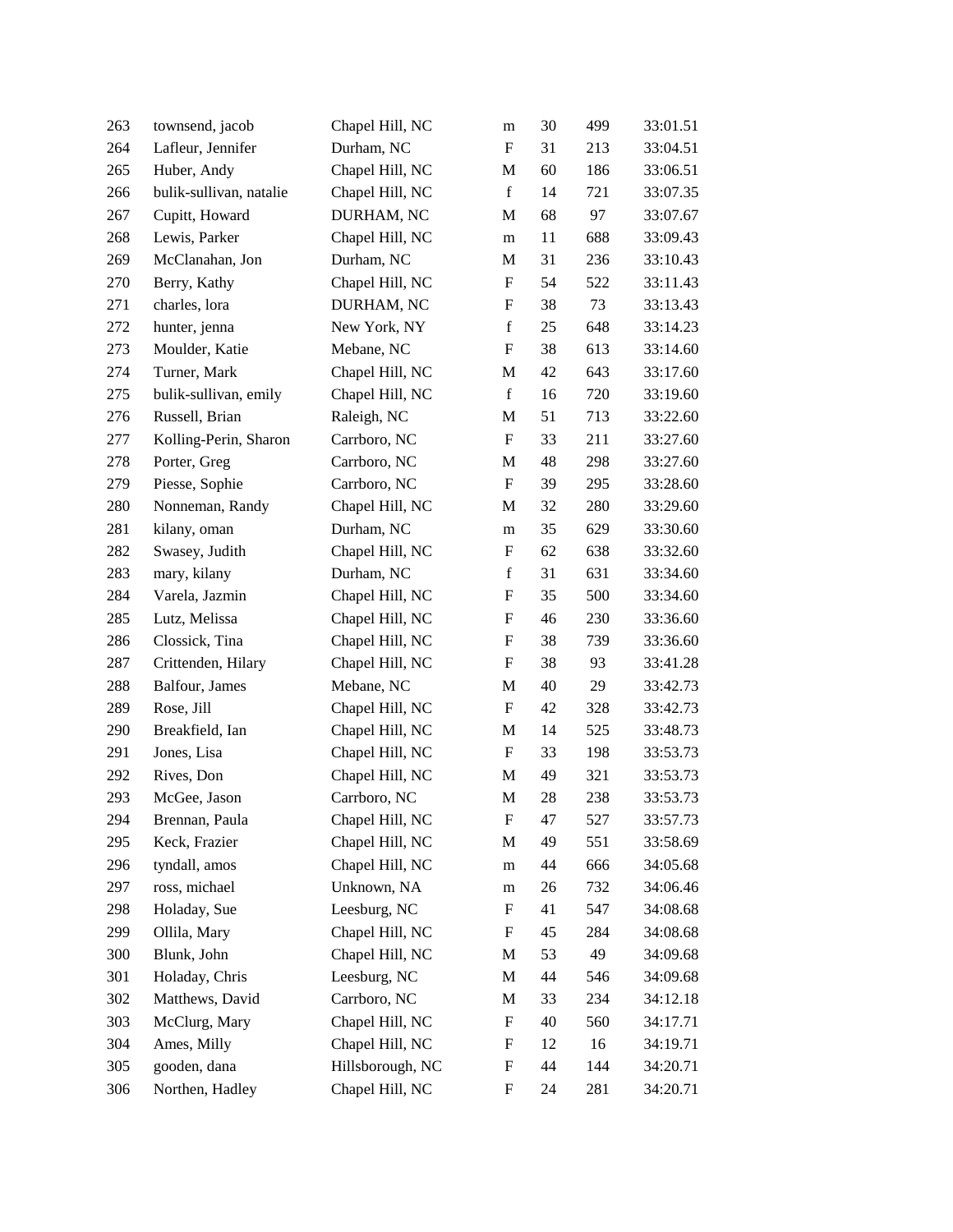| 263 | townsend, jacob         | Chapel Hill, NC  | m                         | 30 | 499 | 33:01.51 |
|-----|-------------------------|------------------|---------------------------|----|-----|----------|
| 264 | Lafleur, Jennifer       | Durham, NC       | F                         | 31 | 213 | 33:04.51 |
| 265 | Huber, Andy             | Chapel Hill, NC  | M                         | 60 | 186 | 33:06.51 |
| 266 | bulik-sullivan, natalie | Chapel Hill, NC  | $\mathbf f$               | 14 | 721 | 33:07.35 |
| 267 | Cupitt, Howard          | DURHAM, NC       | M                         | 68 | 97  | 33:07.67 |
| 268 | Lewis, Parker           | Chapel Hill, NC  | m                         | 11 | 688 | 33:09.43 |
| 269 | McClanahan, Jon         | Durham, NC       | M                         | 31 | 236 | 33:10.43 |
| 270 | Berry, Kathy            | Chapel Hill, NC  | F                         | 54 | 522 | 33:11.43 |
| 271 | charles, lora           | DURHAM, NC       | F                         | 38 | 73  | 33:13.43 |
| 272 | hunter, jenna           | New York, NY     | $\mathbf f$               | 25 | 648 | 33:14.23 |
| 273 | Moulder, Katie          | Mebane, NC       | $\boldsymbol{\mathrm{F}}$ | 38 | 613 | 33:14.60 |
| 274 | Turner, Mark            | Chapel Hill, NC  | M                         | 42 | 643 | 33:17.60 |
| 275 | bulik-sullivan, emily   | Chapel Hill, NC  | $\mathbf f$               | 16 | 720 | 33:19.60 |
| 276 | Russell, Brian          | Raleigh, NC      | M                         | 51 | 713 | 33:22.60 |
| 277 | Kolling-Perin, Sharon   | Carrboro, NC     | F                         | 33 | 211 | 33:27.60 |
| 278 | Porter, Greg            | Carrboro, NC     | M                         | 48 | 298 | 33:27.60 |
| 279 | Piesse, Sophie          | Carrboro, NC     | F                         | 39 | 295 | 33:28.60 |
| 280 | Nonneman, Randy         | Chapel Hill, NC  | M                         | 32 | 280 | 33:29.60 |
| 281 | kilany, oman            | Durham, NC       | m                         | 35 | 629 | 33:30.60 |
| 282 | Swasey, Judith          | Chapel Hill, NC  | F                         | 62 | 638 | 33:32.60 |
| 283 | mary, kilany            | Durham, NC       | $\mathbf f$               | 31 | 631 | 33:34.60 |
| 284 | Varela, Jazmin          | Chapel Hill, NC  | F                         | 35 | 500 | 33:34.60 |
| 285 | Lutz, Melissa           | Chapel Hill, NC  | F                         | 46 | 230 | 33:36.60 |
| 286 | Clossick, Tina          | Chapel Hill, NC  | F                         | 38 | 739 | 33:36.60 |
| 287 | Crittenden, Hilary      | Chapel Hill, NC  | F                         | 38 | 93  | 33:41.28 |
| 288 | Balfour, James          | Mebane, NC       | M                         | 40 | 29  | 33:42.73 |
| 289 | Rose, Jill              | Chapel Hill, NC  | F                         | 42 | 328 | 33:42.73 |
| 290 | Breakfield, Ian         | Chapel Hill, NC  | M                         | 14 | 525 | 33:48.73 |
| 291 | Jones, Lisa             | Chapel Hill, NC  | F                         | 33 | 198 | 33:53.73 |
| 292 | Rives, Don              | Chapel Hill, NC  | M                         | 49 | 321 | 33:53.73 |
| 293 | McGee, Jason            | Carrboro, NC     | M                         | 28 | 238 | 33:53.73 |
| 294 | Brennan, Paula          | Chapel Hill, NC  | F                         | 47 | 527 | 33:57.73 |
| 295 | Keck, Frazier           | Chapel Hill, NC  | M                         | 49 | 551 | 33:58.69 |
| 296 | tyndall, amos           | Chapel Hill, NC  | m                         | 44 | 666 | 34:05.68 |
| 297 | ross, michael           | Unknown, NA      | m                         | 26 | 732 | 34:06.46 |
| 298 | Holaday, Sue            | Leesburg, NC     | F                         | 41 | 547 | 34:08.68 |
| 299 | Ollila, Mary            | Chapel Hill, NC  | F                         | 45 | 284 | 34:08.68 |
| 300 | Blunk, John             | Chapel Hill, NC  | M                         | 53 | 49  | 34:09.68 |
| 301 | Holaday, Chris          | Leesburg, NC     | M                         | 44 | 546 | 34:09.68 |
| 302 | Matthews, David         | Carrboro, NC     | M                         | 33 | 234 | 34:12.18 |
| 303 | McClurg, Mary           | Chapel Hill, NC  | F                         | 40 | 560 | 34:17.71 |
| 304 | Ames, Milly             | Chapel Hill, NC  | F                         | 12 | 16  | 34:19.71 |
| 305 | gooden, dana            | Hillsborough, NC | F                         | 44 | 144 | 34:20.71 |
| 306 | Northen, Hadley         | Chapel Hill, NC  | F                         | 24 | 281 | 34:20.71 |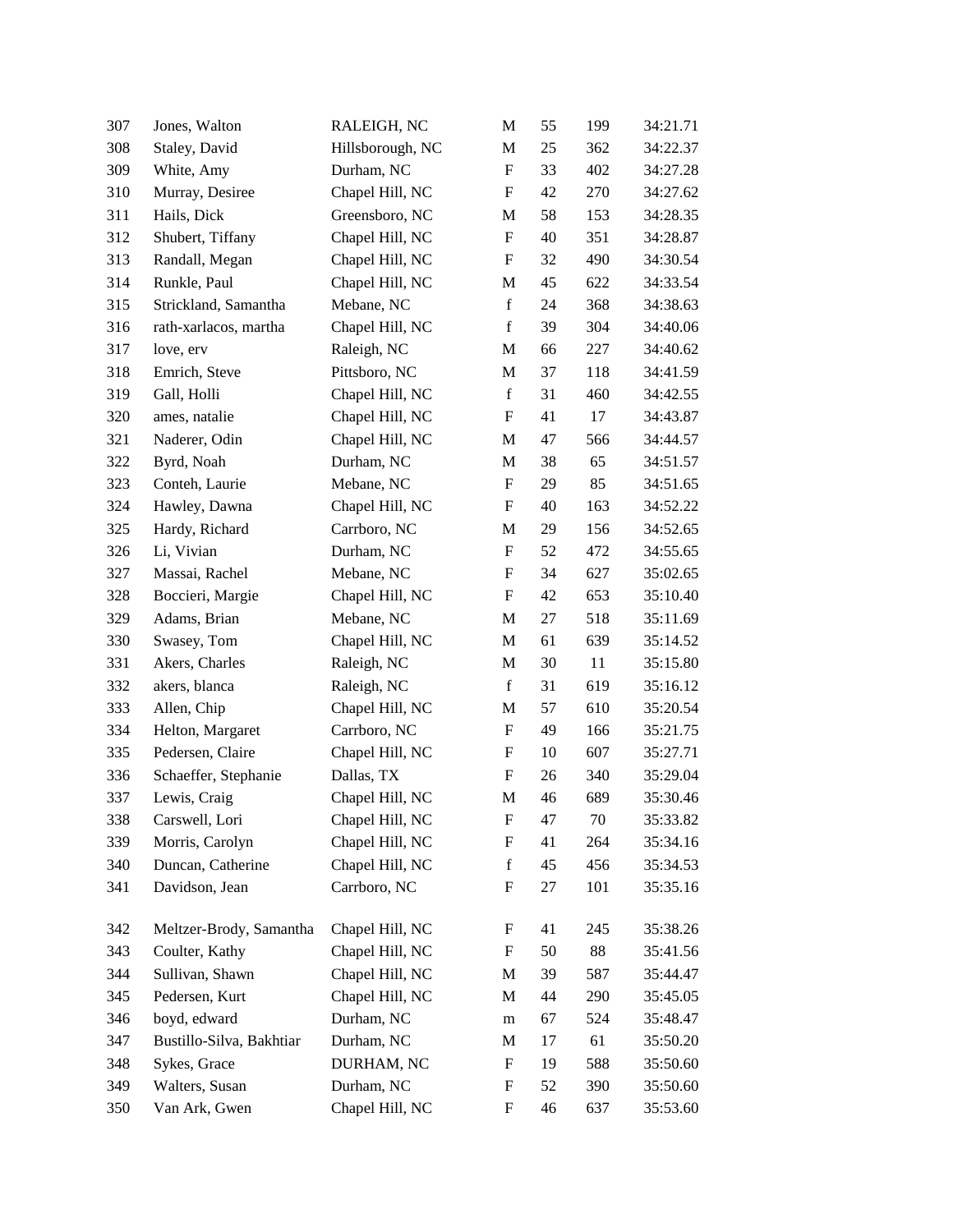| 307 | Jones, Walton            | RALEIGH, NC      | M                         | 55 | 199 | 34:21.71 |
|-----|--------------------------|------------------|---------------------------|----|-----|----------|
| 308 | Staley, David            | Hillsborough, NC | M                         | 25 | 362 | 34:22.37 |
| 309 | White, Amy               | Durham, NC       | $\boldsymbol{\mathrm{F}}$ | 33 | 402 | 34:27.28 |
| 310 | Murray, Desiree          | Chapel Hill, NC  | F                         | 42 | 270 | 34:27.62 |
| 311 | Hails, Dick              | Greensboro, NC   | M                         | 58 | 153 | 34:28.35 |
| 312 | Shubert, Tiffany         | Chapel Hill, NC  | $\boldsymbol{\mathrm{F}}$ | 40 | 351 | 34:28.87 |
| 313 | Randall, Megan           | Chapel Hill, NC  | F                         | 32 | 490 | 34:30.54 |
| 314 | Runkle, Paul             | Chapel Hill, NC  | M                         | 45 | 622 | 34:33.54 |
| 315 | Strickland, Samantha     | Mebane, NC       | $\mathbf f$               | 24 | 368 | 34:38.63 |
| 316 | rath-xarlacos, martha    | Chapel Hill, NC  | $\mathbf f$               | 39 | 304 | 34:40.06 |
| 317 | love, erv                | Raleigh, NC      | M                         | 66 | 227 | 34:40.62 |
| 318 | Emrich, Steve            | Pittsboro, NC    | M                         | 37 | 118 | 34:41.59 |
| 319 | Gall, Holli              | Chapel Hill, NC  | $\mathbf f$               | 31 | 460 | 34:42.55 |
| 320 | ames, natalie            | Chapel Hill, NC  | F                         | 41 | 17  | 34:43.87 |
| 321 | Naderer, Odin            | Chapel Hill, NC  | M                         | 47 | 566 | 34:44.57 |
| 322 | Byrd, Noah               | Durham, NC       | M                         | 38 | 65  | 34:51.57 |
| 323 | Conteh, Laurie           | Mebane, NC       | F                         | 29 | 85  | 34:51.65 |
| 324 | Hawley, Dawna            | Chapel Hill, NC  | F                         | 40 | 163 | 34:52.22 |
| 325 | Hardy, Richard           | Carrboro, NC     | M                         | 29 | 156 | 34:52.65 |
| 326 | Li, Vivian               | Durham, NC       | F                         | 52 | 472 | 34:55.65 |
| 327 | Massai, Rachel           | Mebane, NC       | F                         | 34 | 627 | 35:02.65 |
| 328 | Boccieri, Margie         | Chapel Hill, NC  | F                         | 42 | 653 | 35:10.40 |
| 329 | Adams, Brian             | Mebane, NC       | M                         | 27 | 518 | 35:11.69 |
| 330 | Swasey, Tom              | Chapel Hill, NC  | M                         | 61 | 639 | 35:14.52 |
| 331 | Akers, Charles           | Raleigh, NC      | M                         | 30 | 11  | 35:15.80 |
| 332 | akers, blanca            | Raleigh, NC      | $\mathbf f$               | 31 | 619 | 35:16.12 |
| 333 | Allen, Chip              | Chapel Hill, NC  | M                         | 57 | 610 | 35:20.54 |
| 334 | Helton, Margaret         | Carrboro, NC     | F                         | 49 | 166 | 35:21.75 |
| 335 | Pedersen, Claire         | Chapel Hill, NC  | F                         | 10 | 607 | 35:27.71 |
| 336 | Schaeffer, Stephanie     | Dallas, TX       | F                         | 26 | 340 | 35:29.04 |
| 337 | Lewis, Craig             | Chapel Hill, NC  | M                         | 46 | 689 | 35:30.46 |
| 338 | Carswell, Lori           | Chapel Hill, NC  | F                         | 47 | 70  | 35:33.82 |
| 339 | Morris, Carolyn          | Chapel Hill, NC  | F                         | 41 | 264 | 35:34.16 |
| 340 | Duncan, Catherine        | Chapel Hill, NC  | $\mathbf f$               | 45 | 456 | 35:34.53 |
| 341 | Davidson, Jean           | Carrboro, NC     | F                         | 27 | 101 | 35:35.16 |
| 342 | Meltzer-Brody, Samantha  | Chapel Hill, NC  | F                         | 41 | 245 | 35:38.26 |
| 343 | Coulter, Kathy           | Chapel Hill, NC  | F                         | 50 | 88  | 35:41.56 |
| 344 | Sullivan, Shawn          | Chapel Hill, NC  | M                         | 39 | 587 | 35:44.47 |
| 345 | Pedersen, Kurt           | Chapel Hill, NC  | M                         | 44 | 290 | 35:45.05 |
| 346 | boyd, edward             | Durham, NC       | m                         | 67 | 524 | 35:48.47 |
| 347 | Bustillo-Silva, Bakhtiar | Durham, NC       | M                         | 17 | 61  | 35:50.20 |
| 348 | Sykes, Grace             | DURHAM, NC       | $\boldsymbol{\mathrm{F}}$ | 19 | 588 | 35:50.60 |
| 349 | Walters, Susan           | Durham, NC       | F                         | 52 | 390 | 35:50.60 |
| 350 | Van Ark, Gwen            | Chapel Hill, NC  | $\boldsymbol{F}$          | 46 | 637 | 35:53.60 |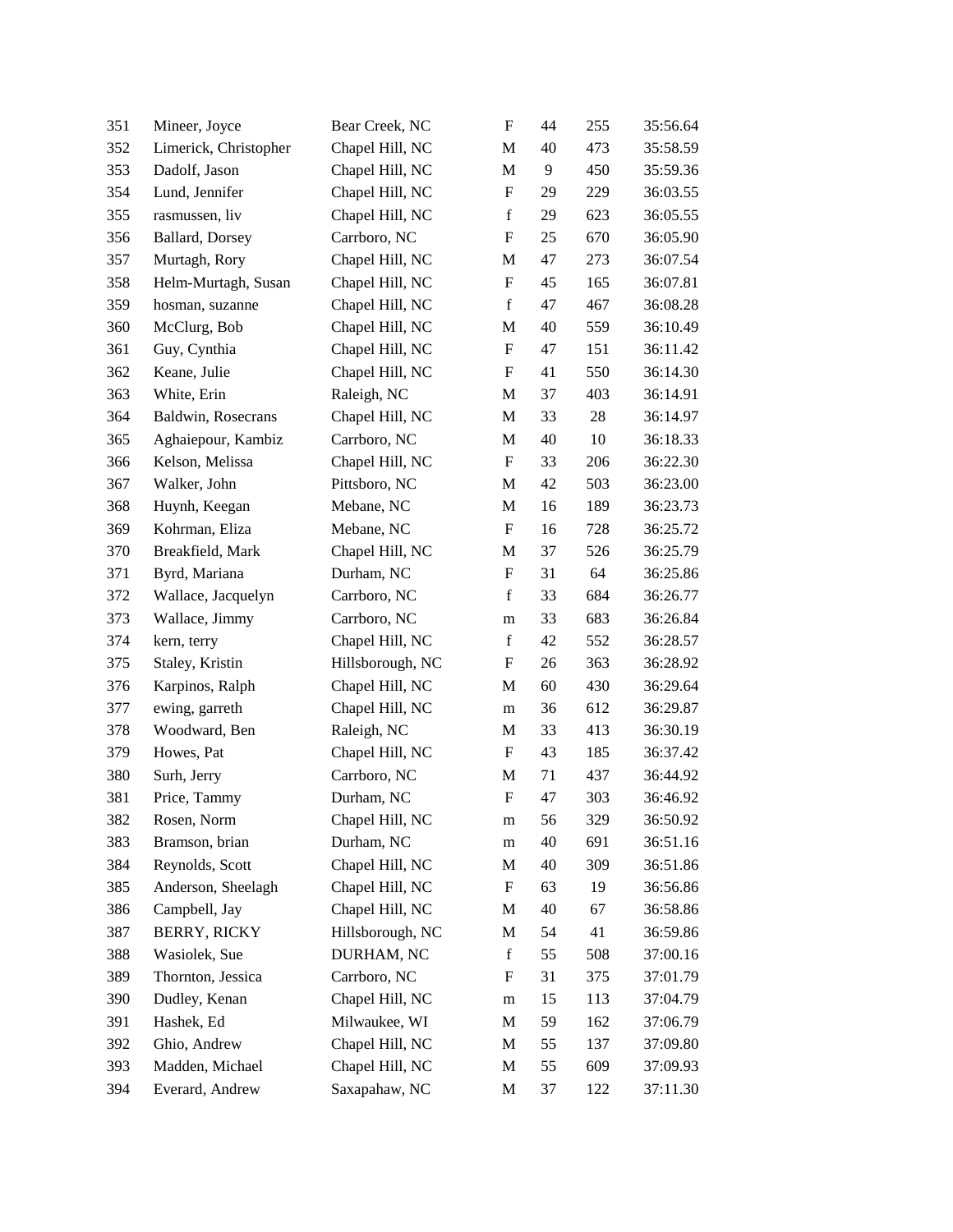| 351 | Mineer, Joyce         | Bear Creek, NC   | $\boldsymbol{\mathrm{F}}$ | 44 | 255 | 35:56.64 |
|-----|-----------------------|------------------|---------------------------|----|-----|----------|
| 352 | Limerick, Christopher | Chapel Hill, NC  | M                         | 40 | 473 | 35:58.59 |
| 353 | Dadolf, Jason         | Chapel Hill, NC  | M                         | 9  | 450 | 35:59.36 |
| 354 | Lund, Jennifer        | Chapel Hill, NC  | F                         | 29 | 229 | 36:03.55 |
| 355 | rasmussen, liv        | Chapel Hill, NC  | $\mathbf f$               | 29 | 623 | 36:05.55 |
| 356 | Ballard, Dorsey       | Carrboro, NC     | F                         | 25 | 670 | 36:05.90 |
| 357 | Murtagh, Rory         | Chapel Hill, NC  | M                         | 47 | 273 | 36:07.54 |
| 358 | Helm-Murtagh, Susan   | Chapel Hill, NC  | $\boldsymbol{\mathrm{F}}$ | 45 | 165 | 36:07.81 |
| 359 | hosman, suzanne       | Chapel Hill, NC  | $\mathbf f$               | 47 | 467 | 36:08.28 |
| 360 | McClurg, Bob          | Chapel Hill, NC  | M                         | 40 | 559 | 36:10.49 |
| 361 | Guy, Cynthia          | Chapel Hill, NC  | F                         | 47 | 151 | 36:11.42 |
| 362 | Keane, Julie          | Chapel Hill, NC  | F                         | 41 | 550 | 36:14.30 |
| 363 | White, Erin           | Raleigh, NC      | M                         | 37 | 403 | 36:14.91 |
| 364 | Baldwin, Rosecrans    | Chapel Hill, NC  | M                         | 33 | 28  | 36:14.97 |
| 365 | Aghaiepour, Kambiz    | Carrboro, NC     | M                         | 40 | 10  | 36:18.33 |
| 366 | Kelson, Melissa       | Chapel Hill, NC  | F                         | 33 | 206 | 36:22.30 |
| 367 | Walker, John          | Pittsboro, NC    | M                         | 42 | 503 | 36:23.00 |
| 368 | Huynh, Keegan         | Mebane, NC       | M                         | 16 | 189 | 36:23.73 |
| 369 | Kohrman, Eliza        | Mebane, NC       | F                         | 16 | 728 | 36:25.72 |
| 370 | Breakfield, Mark      | Chapel Hill, NC  | M                         | 37 | 526 | 36:25.79 |
| 371 | Byrd, Mariana         | Durham, NC       | F                         | 31 | 64  | 36:25.86 |
| 372 | Wallace, Jacquelyn    | Carrboro, NC     | $\mathbf f$               | 33 | 684 | 36:26.77 |
| 373 | Wallace, Jimmy        | Carrboro, NC     | m                         | 33 | 683 | 36:26.84 |
| 374 | kern, terry           | Chapel Hill, NC  | $\mathbf f$               | 42 | 552 | 36:28.57 |
| 375 | Staley, Kristin       | Hillsborough, NC | F                         | 26 | 363 | 36:28.92 |
| 376 | Karpinos, Ralph       | Chapel Hill, NC  | M                         | 60 | 430 | 36:29.64 |
| 377 | ewing, garreth        | Chapel Hill, NC  | m                         | 36 | 612 | 36:29.87 |
| 378 | Woodward, Ben         | Raleigh, NC      | M                         | 33 | 413 | 36:30.19 |
| 379 | Howes, Pat            | Chapel Hill, NC  | F                         | 43 | 185 | 36:37.42 |
| 380 | Surh, Jerry           | Carrboro, NC     | M                         | 71 | 437 | 36:44.92 |
| 381 | Price, Tammy          | Durham, NC       | F                         | 47 | 303 | 36:46.92 |
| 382 | Rosen, Norm           | Chapel Hill, NC  | m                         | 56 | 329 | 36:50.92 |
| 383 | Bramson, brian        | Durham, NC       | m                         | 40 | 691 | 36:51.16 |
| 384 | Reynolds, Scott       | Chapel Hill, NC  | M                         | 40 | 309 | 36:51.86 |
| 385 | Anderson, Sheelagh    | Chapel Hill, NC  | F                         | 63 | 19  | 36:56.86 |
| 386 | Campbell, Jay         | Chapel Hill, NC  | M                         | 40 | 67  | 36:58.86 |
| 387 | <b>BERRY, RICKY</b>   | Hillsborough, NC | M                         | 54 | 41  | 36:59.86 |
| 388 | Wasiolek, Sue         | DURHAM, NC       | $\mathbf f$               | 55 | 508 | 37:00.16 |
| 389 | Thornton, Jessica     | Carrboro, NC     | F                         | 31 | 375 | 37:01.79 |
| 390 | Dudley, Kenan         | Chapel Hill, NC  | m                         | 15 | 113 | 37:04.79 |
| 391 | Hashek, Ed            | Milwaukee, WI    | M                         | 59 | 162 | 37:06.79 |
| 392 | Ghio, Andrew          | Chapel Hill, NC  | M                         | 55 | 137 | 37:09.80 |
| 393 | Madden, Michael       | Chapel Hill, NC  | M                         | 55 | 609 | 37:09.93 |
| 394 | Everard, Andrew       | Saxapahaw, NC    | M                         | 37 | 122 | 37:11.30 |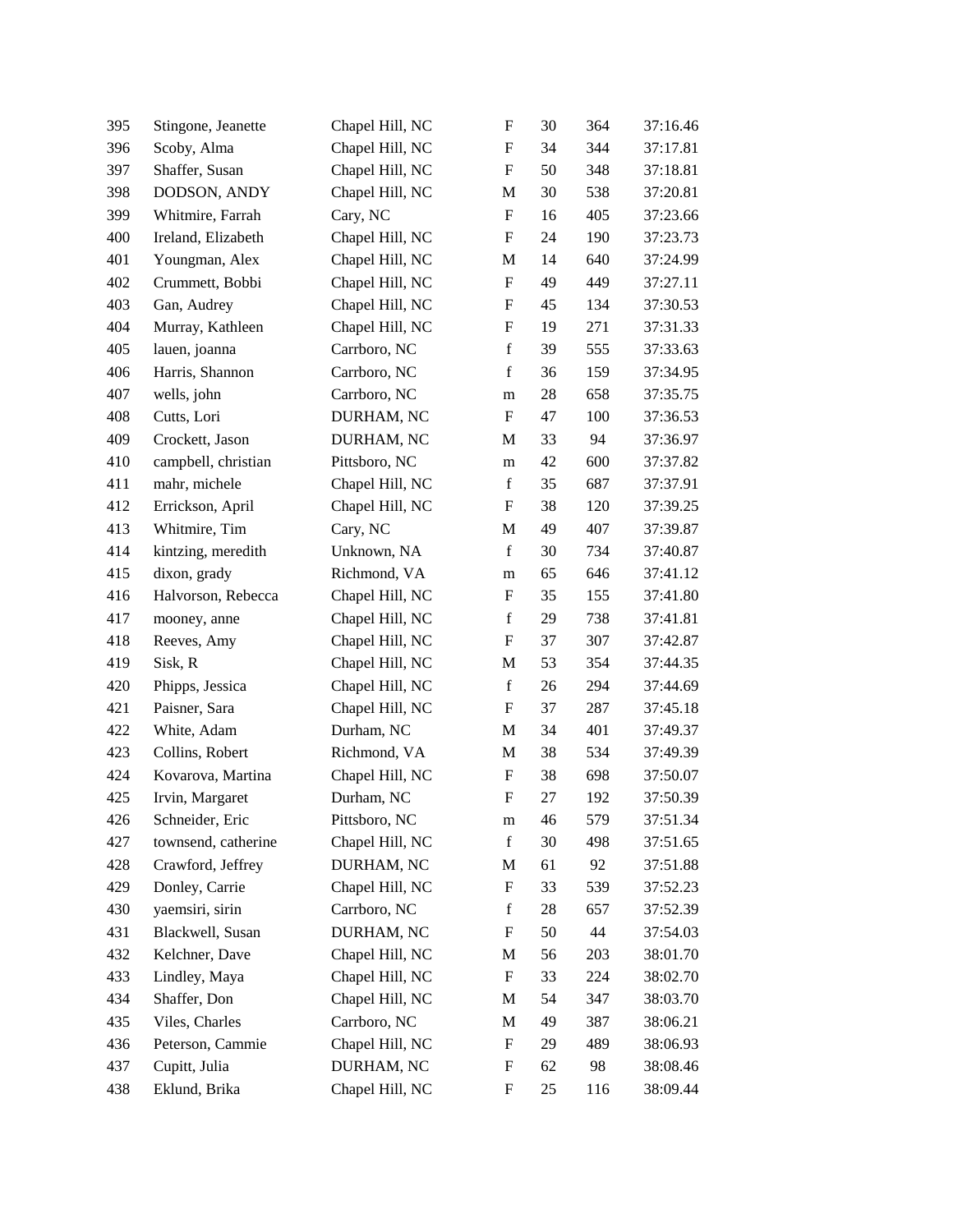| 395 | Stingone, Jeanette  | Chapel Hill, NC | F           | 30 | 364 | 37:16.46 |
|-----|---------------------|-----------------|-------------|----|-----|----------|
| 396 | Scoby, Alma         | Chapel Hill, NC | F           | 34 | 344 | 37:17.81 |
| 397 | Shaffer, Susan      | Chapel Hill, NC | F           | 50 | 348 | 37:18.81 |
| 398 | DODSON, ANDY        | Chapel Hill, NC | M           | 30 | 538 | 37:20.81 |
| 399 | Whitmire, Farrah    | Cary, NC        | F           | 16 | 405 | 37:23.66 |
| 400 | Ireland, Elizabeth  | Chapel Hill, NC | F           | 24 | 190 | 37:23.73 |
| 401 | Youngman, Alex      | Chapel Hill, NC | M           | 14 | 640 | 37:24.99 |
| 402 | Crummett, Bobbi     | Chapel Hill, NC | F           | 49 | 449 | 37:27.11 |
| 403 | Gan, Audrey         | Chapel Hill, NC | F           | 45 | 134 | 37:30.53 |
| 404 | Murray, Kathleen    | Chapel Hill, NC | F           | 19 | 271 | 37:31.33 |
| 405 | lauen, joanna       | Carrboro, NC    | $\mathbf f$ | 39 | 555 | 37:33.63 |
| 406 | Harris, Shannon     | Carrboro, NC    | $\mathbf f$ | 36 | 159 | 37:34.95 |
| 407 | wells, john         | Carrboro, NC    | m           | 28 | 658 | 37:35.75 |
| 408 | Cutts, Lori         | DURHAM, NC      | F           | 47 | 100 | 37:36.53 |
| 409 | Crockett, Jason     | DURHAM, NC      | M           | 33 | 94  | 37:36.97 |
| 410 | campbell, christian | Pittsboro, NC   | m           | 42 | 600 | 37:37.82 |
| 411 | mahr, michele       | Chapel Hill, NC | $\mathbf f$ | 35 | 687 | 37:37.91 |
| 412 | Errickson, April    | Chapel Hill, NC | F           | 38 | 120 | 37:39.25 |
| 413 | Whitmire, Tim       | Cary, NC        | M           | 49 | 407 | 37:39.87 |
| 414 | kintzing, meredith  | Unknown, NA     | $\mathbf f$ | 30 | 734 | 37:40.87 |
| 415 | dixon, grady        | Richmond, VA    | m           | 65 | 646 | 37:41.12 |
| 416 | Halvorson, Rebecca  | Chapel Hill, NC | F           | 35 | 155 | 37:41.80 |
| 417 | mooney, anne        | Chapel Hill, NC | $\mathbf f$ | 29 | 738 | 37:41.81 |
| 418 | Reeves, Amy         | Chapel Hill, NC | F           | 37 | 307 | 37:42.87 |
| 419 | Sisk, R             | Chapel Hill, NC | M           | 53 | 354 | 37:44.35 |
| 420 | Phipps, Jessica     | Chapel Hill, NC | $\mathbf f$ | 26 | 294 | 37:44.69 |
| 421 | Paisner, Sara       | Chapel Hill, NC | F           | 37 | 287 | 37:45.18 |
| 422 | White, Adam         | Durham, NC      | M           | 34 | 401 | 37:49.37 |
| 423 | Collins, Robert     | Richmond, VA    | M           | 38 | 534 | 37:49.39 |
| 424 | Kovarova, Martina   | Chapel Hill, NC | F           | 38 | 698 | 37:50.07 |
| 425 | Irvin, Margaret     | Durham, NC      | $\mathbf F$ | 27 | 192 | 37:50.39 |
| 426 | Schneider, Eric     | Pittsboro, NC   | m           | 46 | 579 | 37:51.34 |
| 427 | townsend, catherine | Chapel Hill, NC | $\mathbf f$ | 30 | 498 | 37:51.65 |
| 428 | Crawford, Jeffrey   | DURHAM, NC      | М           | 61 | 92  | 37:51.88 |
| 429 | Donley, Carrie      | Chapel Hill, NC | F           | 33 | 539 | 37:52.23 |
| 430 | yaemsiri, sirin     | Carrboro, NC    | $\mathbf f$ | 28 | 657 | 37:52.39 |
| 431 | Blackwell, Susan    | DURHAM, NC      | F           | 50 | 44  | 37:54.03 |
| 432 | Kelchner, Dave      | Chapel Hill, NC | M           | 56 | 203 | 38:01.70 |
| 433 | Lindley, Maya       | Chapel Hill, NC | F           | 33 | 224 | 38:02.70 |
| 434 | Shaffer, Don        | Chapel Hill, NC | M           | 54 | 347 | 38:03.70 |
| 435 | Viles, Charles      | Carrboro, NC    | M           | 49 | 387 | 38:06.21 |
| 436 | Peterson, Cammie    | Chapel Hill, NC | F           | 29 | 489 | 38:06.93 |
| 437 | Cupitt, Julia       | DURHAM, NC      | F           | 62 | 98  | 38:08.46 |
| 438 | Eklund, Brika       | Chapel Hill, NC | F           | 25 | 116 | 38:09.44 |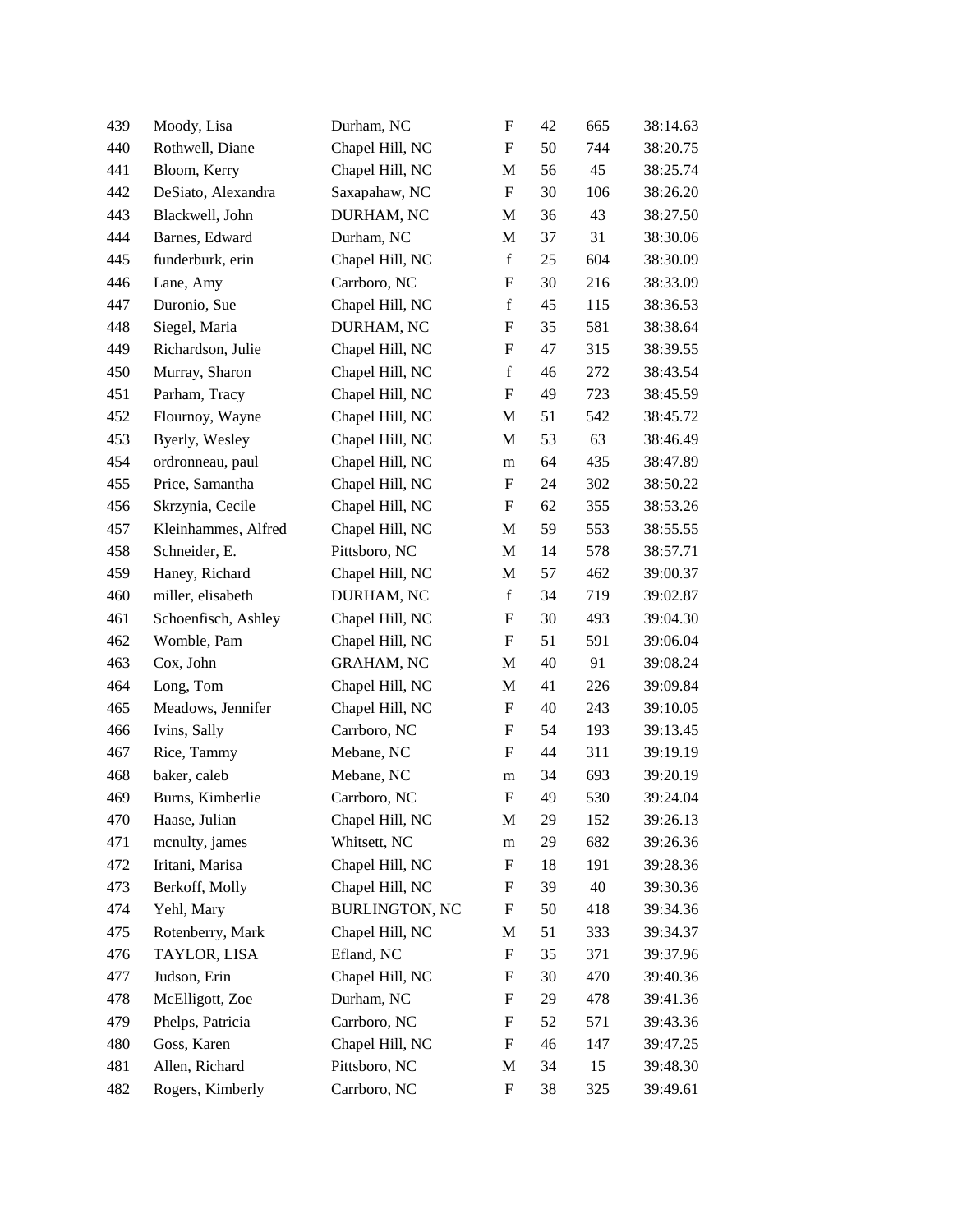| 439 | Moody, Lisa         | Durham, NC            | F           | 42 | 665 | 38:14.63 |
|-----|---------------------|-----------------------|-------------|----|-----|----------|
| 440 | Rothwell, Diane     | Chapel Hill, NC       | F           | 50 | 744 | 38:20.75 |
| 441 | Bloom, Kerry        | Chapel Hill, NC       | M           | 56 | 45  | 38:25.74 |
| 442 | DeSiato, Alexandra  | Saxapahaw, NC         | F           | 30 | 106 | 38:26.20 |
| 443 | Blackwell, John     | DURHAM, NC            | M           | 36 | 43  | 38:27.50 |
| 444 | Barnes, Edward      | Durham, NC            | $\mathbf M$ | 37 | 31  | 38:30.06 |
| 445 | funderburk, erin    | Chapel Hill, NC       | $\mathbf f$ | 25 | 604 | 38:30.09 |
| 446 | Lane, Amy           | Carrboro, NC          | F           | 30 | 216 | 38:33.09 |
| 447 | Duronio, Sue        | Chapel Hill, NC       | $\mathbf f$ | 45 | 115 | 38:36.53 |
| 448 | Siegel, Maria       | DURHAM, NC            | F           | 35 | 581 | 38:38.64 |
| 449 | Richardson, Julie   | Chapel Hill, NC       | F           | 47 | 315 | 38:39.55 |
| 450 | Murray, Sharon      | Chapel Hill, NC       | $\mathbf f$ | 46 | 272 | 38:43.54 |
| 451 | Parham, Tracy       | Chapel Hill, NC       | F           | 49 | 723 | 38:45.59 |
| 452 | Flournoy, Wayne     | Chapel Hill, NC       | M           | 51 | 542 | 38:45.72 |
| 453 | Byerly, Wesley      | Chapel Hill, NC       | M           | 53 | 63  | 38:46.49 |
| 454 | ordronneau, paul    | Chapel Hill, NC       | m           | 64 | 435 | 38:47.89 |
| 455 | Price, Samantha     | Chapel Hill, NC       | F           | 24 | 302 | 38:50.22 |
| 456 | Skrzynia, Cecile    | Chapel Hill, NC       | F           | 62 | 355 | 38:53.26 |
| 457 | Kleinhammes, Alfred | Chapel Hill, NC       | M           | 59 | 553 | 38:55.55 |
| 458 | Schneider, E.       | Pittsboro, NC         | M           | 14 | 578 | 38:57.71 |
| 459 | Haney, Richard      | Chapel Hill, NC       | M           | 57 | 462 | 39:00.37 |
| 460 | miller, elisabeth   | DURHAM, NC            | $\mathbf f$ | 34 | 719 | 39:02.87 |
| 461 | Schoenfisch, Ashley | Chapel Hill, NC       | F           | 30 | 493 | 39:04.30 |
| 462 | Womble, Pam         | Chapel Hill, NC       | F           | 51 | 591 | 39:06.04 |
| 463 | Cox, John           | GRAHAM, NC            | M           | 40 | 91  | 39:08.24 |
| 464 | Long, Tom           | Chapel Hill, NC       | M           | 41 | 226 | 39:09.84 |
| 465 | Meadows, Jennifer   | Chapel Hill, NC       | F           | 40 | 243 | 39:10.05 |
| 466 | Ivins, Sally        | Carrboro, NC          | F           | 54 | 193 | 39:13.45 |
| 467 | Rice, Tammy         | Mebane, NC            | F           | 44 | 311 | 39:19.19 |
| 468 | baker, caleb        | Mebane, NC            | m           | 34 | 693 | 39:20.19 |
| 469 | Burns, Kimberlie    | Carrboro, NC          | F           | 49 | 530 | 39:24.04 |
| 470 | Haase, Julian       | Chapel Hill, NC       | M           | 29 | 152 | 39:26.13 |
| 471 | menulty, james      | Whitsett, NC          | m           | 29 | 682 | 39:26.36 |
| 472 | Iritani, Marisa     | Chapel Hill, NC       | F           | 18 | 191 | 39:28.36 |
| 473 | Berkoff, Molly      | Chapel Hill, NC       | F           | 39 | 40  | 39:30.36 |
| 474 | Yehl, Mary          | <b>BURLINGTON, NC</b> | F           | 50 | 418 | 39:34.36 |
| 475 | Rotenberry, Mark    | Chapel Hill, NC       | М           | 51 | 333 | 39:34.37 |
| 476 | TAYLOR, LISA        | Efland, NC            | F           | 35 | 371 | 39:37.96 |
| 477 | Judson, Erin        | Chapel Hill, NC       | F           | 30 | 470 | 39:40.36 |
| 478 | McElligott, Zoe     | Durham, NC            | F           | 29 | 478 | 39:41.36 |
| 479 | Phelps, Patricia    | Carrboro, NC          | F           | 52 | 571 | 39:43.36 |
| 480 | Goss, Karen         | Chapel Hill, NC       | F           | 46 | 147 | 39:47.25 |
| 481 | Allen, Richard      | Pittsboro, NC         | M           | 34 | 15  | 39:48.30 |
| 482 | Rogers, Kimberly    | Carrboro, NC          | F           | 38 | 325 | 39:49.61 |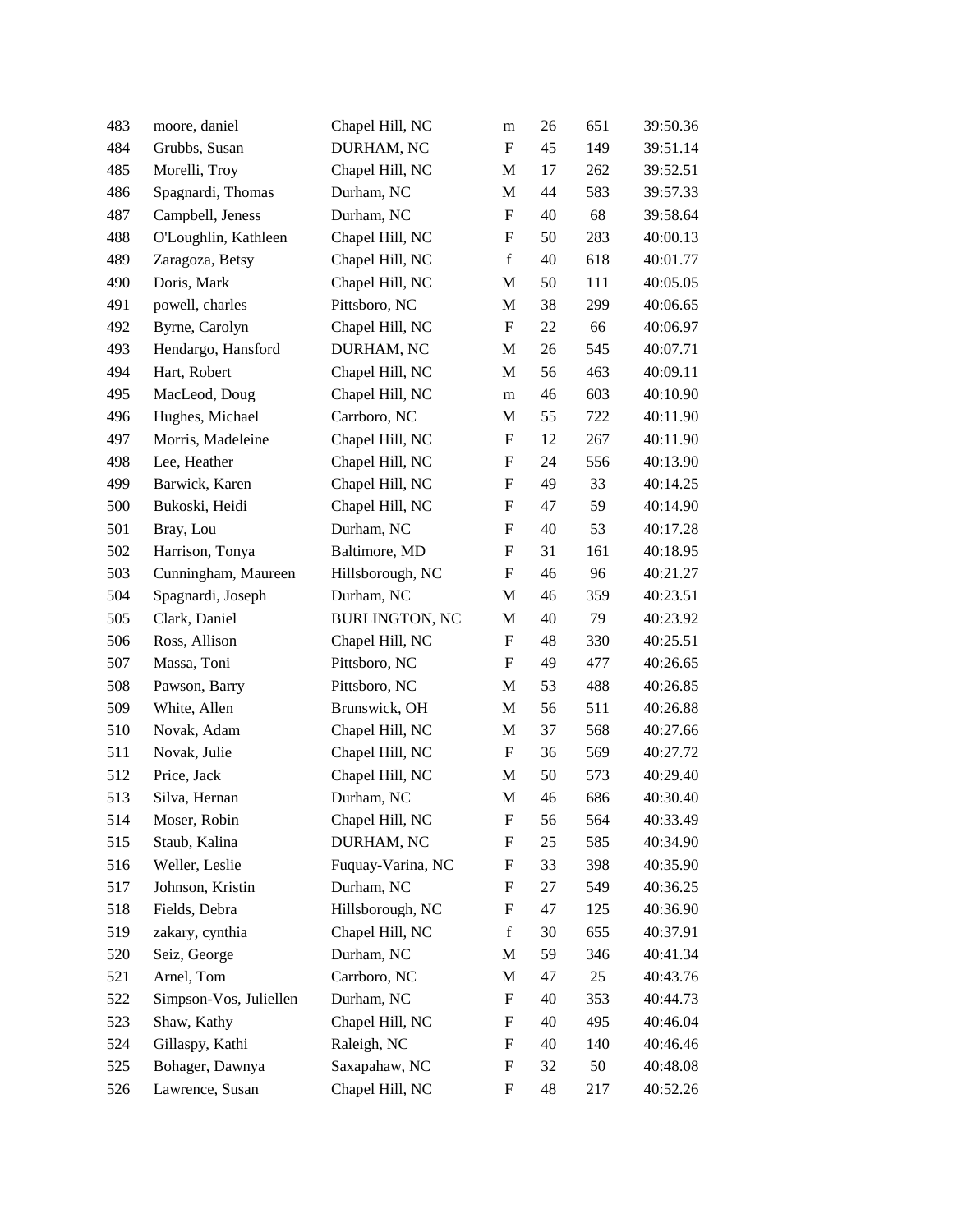| 483 | moore, daniel          | Chapel Hill, NC       | m                         | 26 | 651 | 39:50.36 |
|-----|------------------------|-----------------------|---------------------------|----|-----|----------|
| 484 | Grubbs, Susan          | DURHAM, NC            | F                         | 45 | 149 | 39:51.14 |
| 485 | Morelli, Troy          | Chapel Hill, NC       | M                         | 17 | 262 | 39:52.51 |
| 486 | Spagnardi, Thomas      | Durham, NC            | М                         | 44 | 583 | 39:57.33 |
| 487 | Campbell, Jeness       | Durham, NC            | $\boldsymbol{\mathrm{F}}$ | 40 | 68  | 39:58.64 |
| 488 | O'Loughlin, Kathleen   | Chapel Hill, NC       | F                         | 50 | 283 | 40:00.13 |
| 489 | Zaragoza, Betsy        | Chapel Hill, NC       | $\mathbf f$               | 40 | 618 | 40:01.77 |
| 490 | Doris, Mark            | Chapel Hill, NC       | M                         | 50 | 111 | 40:05.05 |
| 491 | powell, charles        | Pittsboro, NC         | М                         | 38 | 299 | 40:06.65 |
| 492 | Byrne, Carolyn         | Chapel Hill, NC       | F                         | 22 | 66  | 40:06.97 |
| 493 | Hendargo, Hansford     | DURHAM, NC            | M                         | 26 | 545 | 40:07.71 |
| 494 | Hart, Robert           | Chapel Hill, NC       | M                         | 56 | 463 | 40:09.11 |
| 495 | MacLeod, Doug          | Chapel Hill, NC       | m                         | 46 | 603 | 40:10.90 |
| 496 | Hughes, Michael        | Carrboro, NC          | М                         | 55 | 722 | 40:11.90 |
| 497 | Morris, Madeleine      | Chapel Hill, NC       | F                         | 12 | 267 | 40:11.90 |
| 498 | Lee, Heather           | Chapel Hill, NC       | F                         | 24 | 556 | 40:13.90 |
| 499 | Barwick, Karen         | Chapel Hill, NC       | F                         | 49 | 33  | 40:14.25 |
| 500 | Bukoski, Heidi         | Chapel Hill, NC       | F                         | 47 | 59  | 40:14.90 |
| 501 | Bray, Lou              | Durham, NC            | F                         | 40 | 53  | 40:17.28 |
| 502 | Harrison, Tonya        | Baltimore, MD         | F                         | 31 | 161 | 40:18.95 |
| 503 | Cunningham, Maureen    | Hillsborough, NC      | F                         | 46 | 96  | 40:21.27 |
| 504 | Spagnardi, Joseph      | Durham, NC            | M                         | 46 | 359 | 40:23.51 |
| 505 | Clark, Daniel          | <b>BURLINGTON, NC</b> | M                         | 40 | 79  | 40:23.92 |
| 506 | Ross, Allison          | Chapel Hill, NC       | F                         | 48 | 330 | 40:25.51 |
| 507 | Massa, Toni            | Pittsboro, NC         | F                         | 49 | 477 | 40:26.65 |
| 508 | Pawson, Barry          | Pittsboro, NC         | M                         | 53 | 488 | 40:26.85 |
| 509 | White, Allen           | Brunswick, OH         | M                         | 56 | 511 | 40:26.88 |
| 510 | Novak, Adam            | Chapel Hill, NC       | M                         | 37 | 568 | 40:27.66 |
| 511 | Novak, Julie           | Chapel Hill, NC       | F                         | 36 | 569 | 40:27.72 |
| 512 | Price, Jack            | Chapel Hill, NC       | M                         | 50 | 573 | 40:29.40 |
| 513 | Silva, Hernan          | Durham, NC            | $\mathbf M$               | 46 | 686 | 40:30.40 |
| 514 | Moser, Robin           | Chapel Hill, NC       | F                         | 56 | 564 | 40:33.49 |
| 515 | Staub, Kalina          | DURHAM, NC            | F                         | 25 | 585 | 40:34.90 |
| 516 | Weller, Leslie         | Fuquay-Varina, NC     | F                         | 33 | 398 | 40:35.90 |
| 517 | Johnson, Kristin       | Durham, NC            | F                         | 27 | 549 | 40:36.25 |
| 518 | Fields, Debra          | Hillsborough, NC      | F                         | 47 | 125 | 40:36.90 |
| 519 | zakary, cynthia        | Chapel Hill, NC       | f                         | 30 | 655 | 40:37.91 |
| 520 | Seiz, George           | Durham, NC            | M                         | 59 | 346 | 40:41.34 |
| 521 | Arnel, Tom             | Carrboro, NC          | М                         | 47 | 25  | 40:43.76 |
| 522 | Simpson-Vos, Juliellen | Durham, NC            | F                         | 40 | 353 | 40:44.73 |
| 523 | Shaw, Kathy            | Chapel Hill, NC       | F                         | 40 | 495 | 40:46.04 |
| 524 | Gillaspy, Kathi        | Raleigh, NC           | F                         | 40 | 140 | 40:46.46 |
| 525 | Bohager, Dawnya        | Saxapahaw, NC         | F                         | 32 | 50  | 40:48.08 |
| 526 | Lawrence, Susan        | Chapel Hill, NC       | F                         | 48 | 217 | 40:52.26 |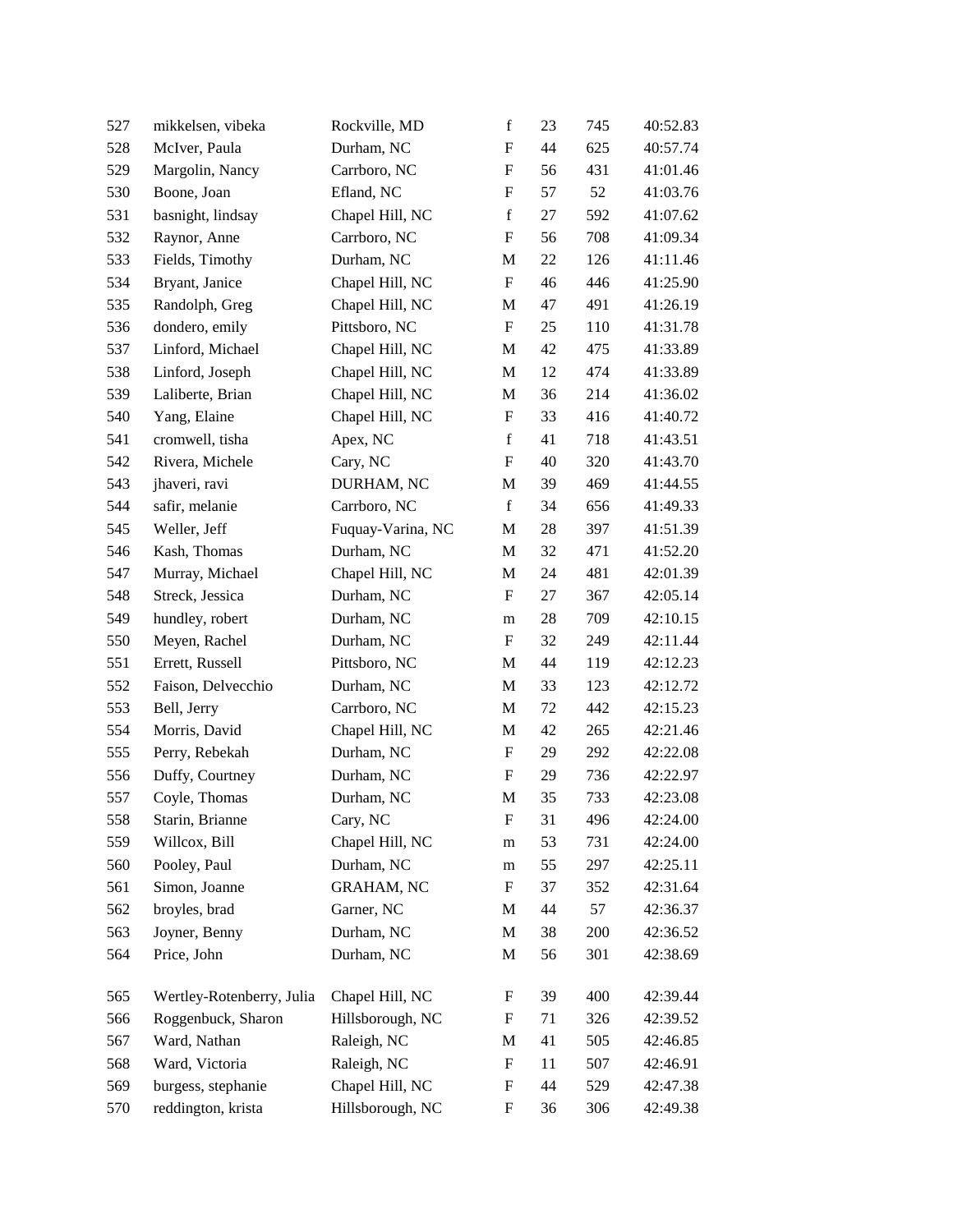| 527 | mikkelsen, vibeka         | Rockville, MD     | $\mathbf f$               | 23 | 745 | 40:52.83 |
|-----|---------------------------|-------------------|---------------------------|----|-----|----------|
| 528 | McIver, Paula             | Durham, NC        | $\mathbf F$               | 44 | 625 | 40:57.74 |
| 529 | Margolin, Nancy           | Carrboro, NC      | F                         | 56 | 431 | 41:01.46 |
| 530 | Boone, Joan               | Efland, NC        | F                         | 57 | 52  | 41:03.76 |
| 531 | basnight, lindsay         | Chapel Hill, NC   | $\mathbf f$               | 27 | 592 | 41:07.62 |
| 532 | Raynor, Anne              | Carrboro, NC      | $\boldsymbol{\mathrm{F}}$ | 56 | 708 | 41:09.34 |
| 533 | Fields, Timothy           | Durham, NC        | M                         | 22 | 126 | 41:11.46 |
| 534 | Bryant, Janice            | Chapel Hill, NC   | $\boldsymbol{\mathrm{F}}$ | 46 | 446 | 41:25.90 |
| 535 | Randolph, Greg            | Chapel Hill, NC   | М                         | 47 | 491 | 41:26.19 |
| 536 | dondero, emily            | Pittsboro, NC     | F                         | 25 | 110 | 41:31.78 |
| 537 | Linford, Michael          | Chapel Hill, NC   | M                         | 42 | 475 | 41:33.89 |
| 538 | Linford, Joseph           | Chapel Hill, NC   | M                         | 12 | 474 | 41:33.89 |
| 539 | Laliberte, Brian          | Chapel Hill, NC   | M                         | 36 | 214 | 41:36.02 |
| 540 | Yang, Elaine              | Chapel Hill, NC   | F                         | 33 | 416 | 41:40.72 |
| 541 | cromwell, tisha           | Apex, NC          | $\mathbf f$               | 41 | 718 | 41:43.51 |
| 542 | Rivera, Michele           | Cary, NC          | $\boldsymbol{\mathrm{F}}$ | 40 | 320 | 41:43.70 |
| 543 | jhaveri, ravi             | DURHAM, NC        | M                         | 39 | 469 | 41:44.55 |
| 544 | safir, melanie            | Carrboro, NC      | $\mathbf f$               | 34 | 656 | 41:49.33 |
| 545 | Weller, Jeff              | Fuquay-Varina, NC | М                         | 28 | 397 | 41:51.39 |
| 546 | Kash, Thomas              | Durham, NC        | M                         | 32 | 471 | 41:52.20 |
| 547 | Murray, Michael           | Chapel Hill, NC   | M                         | 24 | 481 | 42:01.39 |
| 548 | Streck, Jessica           | Durham, NC        | F                         | 27 | 367 | 42:05.14 |
| 549 | hundley, robert           | Durham, NC        | m                         | 28 | 709 | 42:10.15 |
| 550 | Meyen, Rachel             | Durham, NC        | F                         | 32 | 249 | 42:11.44 |
| 551 | Errett, Russell           | Pittsboro, NC     | M                         | 44 | 119 | 42:12.23 |
| 552 | Faison, Delvecchio        | Durham, NC        | M                         | 33 | 123 | 42:12.72 |
| 553 | Bell, Jerry               | Carrboro, NC      | M                         | 72 | 442 | 42:15.23 |
| 554 | Morris, David             | Chapel Hill, NC   | M                         | 42 | 265 | 42:21.46 |
| 555 | Perry, Rebekah            | Durham, NC        | F                         | 29 | 292 | 42:22.08 |
| 556 | Duffy, Courtney           | Durham, NC        | F                         | 29 | 736 | 42:22.97 |
| 557 | Coyle, Thomas             | Durham, NC        | M                         | 35 | 733 | 42:23.08 |
| 558 | Starin, Brianne           | Cary, NC          | F                         | 31 | 496 | 42:24.00 |
| 559 | Willcox, Bill             | Chapel Hill, NC   | m                         | 53 | 731 | 42:24.00 |
| 560 | Pooley, Paul              | Durham, NC        | m                         | 55 | 297 | 42:25.11 |
| 561 | Simon, Joanne             | <b>GRAHAM, NC</b> | F                         | 37 | 352 | 42:31.64 |
| 562 | broyles, brad             | Garner, NC        | M                         | 44 | 57  | 42:36.37 |
| 563 | Joyner, Benny             | Durham, NC        | M                         | 38 | 200 | 42:36.52 |
| 564 | Price, John               | Durham, NC        | M                         | 56 | 301 | 42:38.69 |
| 565 | Wertley-Rotenberry, Julia | Chapel Hill, NC   | F                         | 39 | 400 | 42:39.44 |
| 566 | Roggenbuck, Sharon        | Hillsborough, NC  | F                         | 71 | 326 | 42:39.52 |
| 567 | Ward, Nathan              | Raleigh, NC       | М                         | 41 | 505 | 42:46.85 |
| 568 | Ward, Victoria            | Raleigh, NC       | F                         | 11 | 507 | 42:46.91 |
| 569 | burgess, stephanie        | Chapel Hill, NC   | F                         | 44 | 529 | 42:47.38 |
| 570 | reddington, krista        | Hillsborough, NC  | F                         | 36 | 306 | 42:49.38 |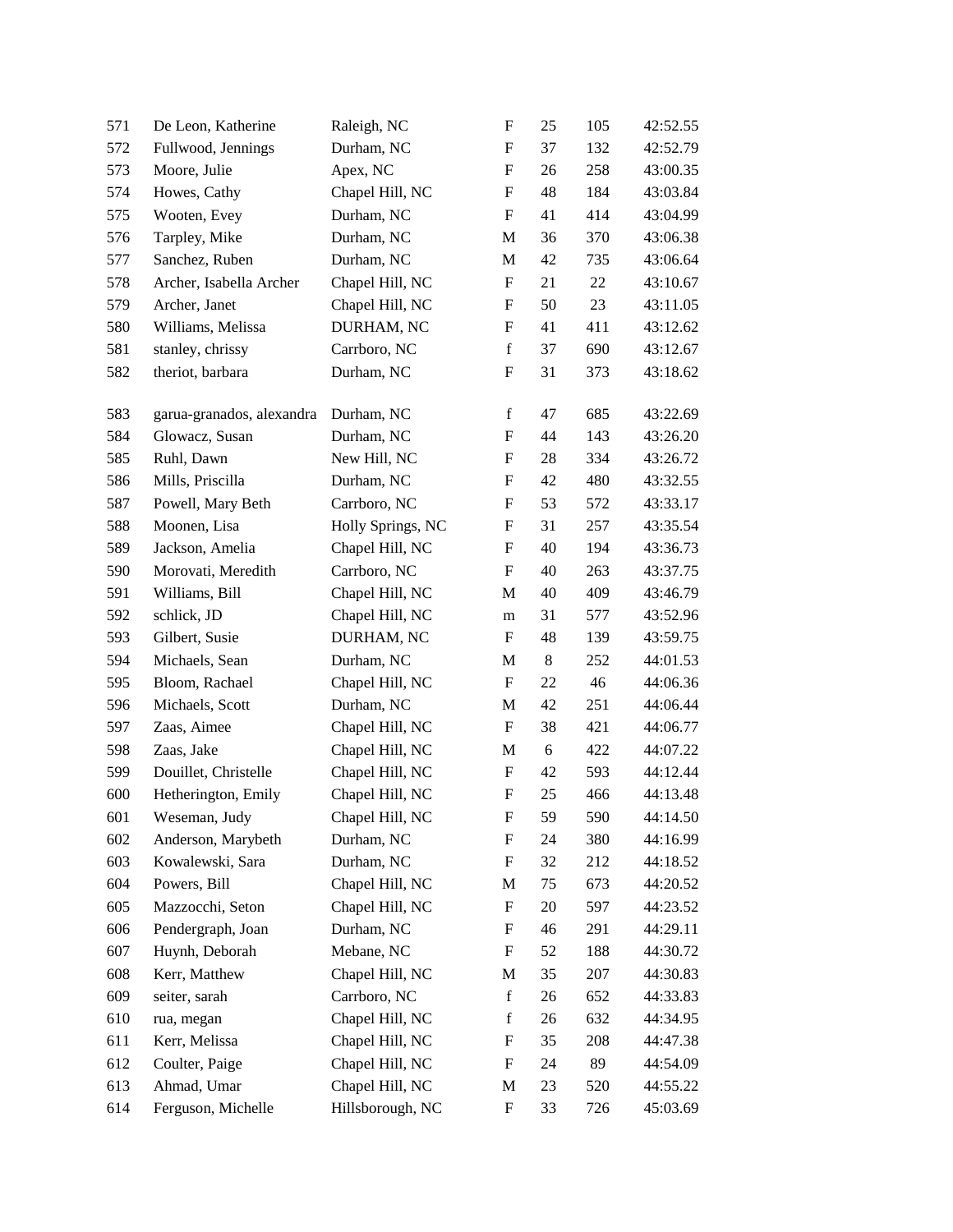| 571 | De Leon, Katherine        | Raleigh, NC       | F                         | 25 | 105 | 42:52.55 |
|-----|---------------------------|-------------------|---------------------------|----|-----|----------|
| 572 | Fullwood, Jennings        | Durham, NC        | F                         | 37 | 132 | 42:52.79 |
| 573 | Moore, Julie              | Apex, NC          | F                         | 26 | 258 | 43:00.35 |
| 574 | Howes, Cathy              | Chapel Hill, NC   | F                         | 48 | 184 | 43:03.84 |
| 575 | Wooten, Evey              | Durham, NC        | F                         | 41 | 414 | 43:04.99 |
| 576 | Tarpley, Mike             | Durham, NC        | M                         | 36 | 370 | 43:06.38 |
| 577 | Sanchez, Ruben            | Durham, NC        | M                         | 42 | 735 | 43:06.64 |
| 578 | Archer, Isabella Archer   | Chapel Hill, NC   | F                         | 21 | 22  | 43:10.67 |
| 579 | Archer, Janet             | Chapel Hill, NC   | F                         | 50 | 23  | 43:11.05 |
| 580 | Williams, Melissa         | DURHAM, NC        | F                         | 41 | 411 | 43:12.62 |
| 581 | stanley, chrissy          | Carrboro, NC      | $\mathbf f$               | 37 | 690 | 43:12.67 |
| 582 | theriot, barbara          | Durham, NC        | F                         | 31 | 373 | 43:18.62 |
| 583 | garua-granados, alexandra | Durham, NC        | f                         | 47 | 685 | 43:22.69 |
| 584 | Glowacz, Susan            | Durham, NC        | F                         | 44 | 143 | 43:26.20 |
| 585 | Ruhl, Dawn                | New Hill, NC      | $\boldsymbol{\mathrm{F}}$ | 28 | 334 | 43:26.72 |
| 586 | Mills, Priscilla          | Durham, NC        | F                         | 42 | 480 | 43:32.55 |
| 587 | Powell, Mary Beth         | Carrboro, NC      | F                         | 53 | 572 | 43:33.17 |
| 588 | Moonen, Lisa              | Holly Springs, NC | F                         | 31 | 257 | 43:35.54 |
| 589 | Jackson, Amelia           | Chapel Hill, NC   | F                         | 40 | 194 | 43:36.73 |
| 590 | Morovati, Meredith        | Carrboro, NC      | F                         | 40 | 263 | 43:37.75 |
| 591 | Williams, Bill            | Chapel Hill, NC   | M                         | 40 | 409 | 43:46.79 |
| 592 | schlick, JD               | Chapel Hill, NC   | m                         | 31 | 577 | 43:52.96 |
| 593 | Gilbert, Susie            | DURHAM, NC        | F                         | 48 | 139 | 43:59.75 |
| 594 | Michaels, Sean            | Durham, NC        | M                         | 8  | 252 | 44:01.53 |
| 595 | Bloom, Rachael            | Chapel Hill, NC   | F                         | 22 | 46  | 44:06.36 |
| 596 | Michaels, Scott           | Durham, NC        | M                         | 42 | 251 | 44:06.44 |
| 597 | Zaas, Aimee               | Chapel Hill, NC   | F                         | 38 | 421 | 44:06.77 |
| 598 | Zaas, Jake                | Chapel Hill, NC   | M                         | 6  | 422 | 44:07.22 |
| 599 | Douillet, Christelle      | Chapel Hill, NC   | F                         | 42 | 593 | 44:12.44 |
| 600 | Hetherington, Emily       | Chapel Hill, NC   | $\boldsymbol{F}$          | 25 | 466 | 44:13.48 |
| 601 | Weseman, Judy             | Chapel Hill, NC   | $\boldsymbol{\mathrm{F}}$ | 59 | 590 | 44:14.50 |
| 602 | Anderson, Marybeth        | Durham, NC        | F                         | 24 | 380 | 44:16.99 |
| 603 | Kowalewski, Sara          | Durham, NC        | F                         | 32 | 212 | 44:18.52 |
| 604 | Powers, Bill              | Chapel Hill, NC   | M                         | 75 | 673 | 44:20.52 |
| 605 | Mazzocchi, Seton          | Chapel Hill, NC   | $\boldsymbol{\mathrm{F}}$ | 20 | 597 | 44:23.52 |
| 606 | Pendergraph, Joan         | Durham, NC        | F                         | 46 | 291 | 44:29.11 |
| 607 | Huynh, Deborah            | Mebane, NC        | F                         | 52 | 188 | 44:30.72 |
| 608 | Kerr, Matthew             | Chapel Hill, NC   | M                         | 35 | 207 | 44:30.83 |
| 609 | seiter, sarah             | Carrboro, NC      | $\mathbf f$               | 26 | 652 | 44:33.83 |
| 610 | rua, megan                | Chapel Hill, NC   | $\mathbf f$               | 26 | 632 | 44:34.95 |
| 611 | Kerr, Melissa             | Chapel Hill, NC   | F                         | 35 | 208 | 44:47.38 |
| 612 | Coulter, Paige            | Chapel Hill, NC   | F                         | 24 | 89  | 44:54.09 |
| 613 | Ahmad, Umar               | Chapel Hill, NC   | M                         | 23 | 520 | 44:55.22 |
| 614 | Ferguson, Michelle        | Hillsborough, NC  | F                         | 33 | 726 | 45:03.69 |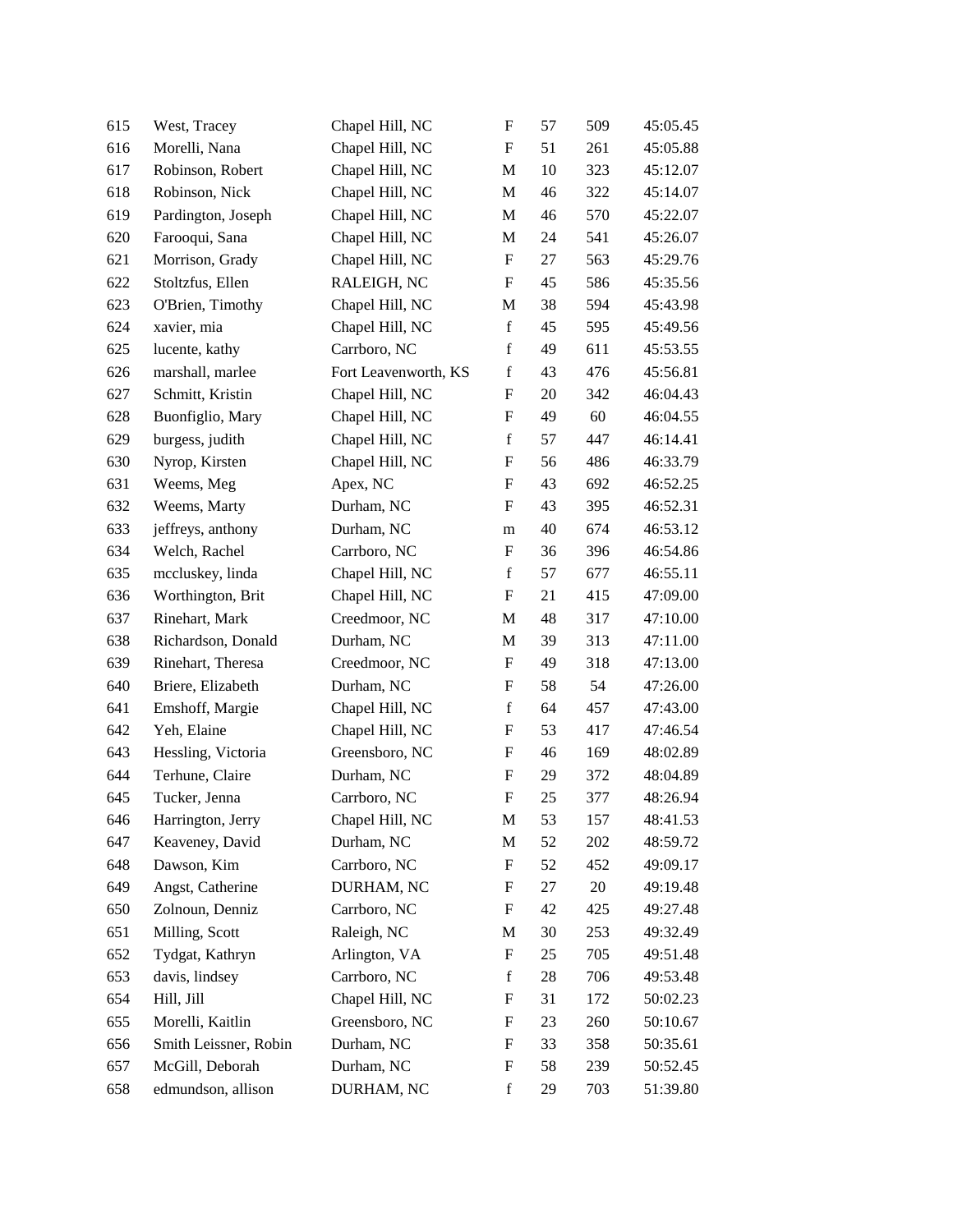| 615 | West, Tracey          | Chapel Hill, NC      | F           | 57 | 509 | 45:05.45 |
|-----|-----------------------|----------------------|-------------|----|-----|----------|
| 616 | Morelli, Nana         | Chapel Hill, NC      | F           | 51 | 261 | 45:05.88 |
| 617 | Robinson, Robert      | Chapel Hill, NC      | M           | 10 | 323 | 45:12.07 |
| 618 | Robinson, Nick        | Chapel Hill, NC      | M           | 46 | 322 | 45:14.07 |
| 619 | Pardington, Joseph    | Chapel Hill, NC      | M           | 46 | 570 | 45:22.07 |
| 620 | Farooqui, Sana        | Chapel Hill, NC      | M           | 24 | 541 | 45:26.07 |
| 621 | Morrison, Grady       | Chapel Hill, NC      | F           | 27 | 563 | 45:29.76 |
| 622 | Stoltzfus, Ellen      | RALEIGH, NC          | F           | 45 | 586 | 45:35.56 |
| 623 | O'Brien, Timothy      | Chapel Hill, NC      | М           | 38 | 594 | 45:43.98 |
| 624 | xavier, mia           | Chapel Hill, NC      | $\mathbf f$ | 45 | 595 | 45:49.56 |
| 625 | lucente, kathy        | Carrboro, NC         | $\mathbf f$ | 49 | 611 | 45:53.55 |
| 626 | marshall, marlee      | Fort Leavenworth, KS | $\mathbf f$ | 43 | 476 | 45:56.81 |
| 627 | Schmitt, Kristin      | Chapel Hill, NC      | F           | 20 | 342 | 46:04.43 |
| 628 | Buonfiglio, Mary      | Chapel Hill, NC      | F           | 49 | 60  | 46:04.55 |
| 629 | burgess, judith       | Chapel Hill, NC      | $\mathbf f$ | 57 | 447 | 46:14.41 |
| 630 | Nyrop, Kirsten        | Chapel Hill, NC      | F           | 56 | 486 | 46:33.79 |
| 631 | Weems, Meg            | Apex, NC             | F           | 43 | 692 | 46:52.25 |
| 632 | Weems, Marty          | Durham, NC           | F           | 43 | 395 | 46:52.31 |
| 633 | jeffreys, anthony     | Durham, NC           | m           | 40 | 674 | 46:53.12 |
| 634 | Welch, Rachel         | Carrboro, NC         | F           | 36 | 396 | 46:54.86 |
| 635 | mccluskey, linda      | Chapel Hill, NC      | $\mathbf f$ | 57 | 677 | 46:55.11 |
| 636 | Worthington, Brit     | Chapel Hill, NC      | F           | 21 | 415 | 47:09.00 |
| 637 | Rinehart, Mark        | Creedmoor, NC        | M           | 48 | 317 | 47:10.00 |
| 638 | Richardson, Donald    | Durham, NC           | M           | 39 | 313 | 47:11.00 |
| 639 | Rinehart, Theresa     | Creedmoor, NC        | F           | 49 | 318 | 47:13.00 |
| 640 | Briere, Elizabeth     | Durham, NC           | F           | 58 | 54  | 47:26.00 |
| 641 | Emshoff, Margie       | Chapel Hill, NC      | $\mathbf f$ | 64 | 457 | 47:43.00 |
| 642 | Yeh, Elaine           | Chapel Hill, NC      | F           | 53 | 417 | 47:46.54 |
| 643 | Hessling, Victoria    | Greensboro, NC       | F           | 46 | 169 | 48:02.89 |
| 644 | Terhune, Claire       | Durham, NC           | F           | 29 | 372 | 48:04.89 |
| 645 | Tucker, Jenna         | Carrboro, NC         | F           | 25 | 377 | 48:26.94 |
| 646 | Harrington, Jerry     | Chapel Hill, NC      | M           | 53 | 157 | 48:41.53 |
| 647 | Keaveney, David       | Durham, NC           | M           | 52 | 202 | 48:59.72 |
| 648 | Dawson, Kim           | Carrboro, NC         | F           | 52 | 452 | 49:09.17 |
| 649 | Angst, Catherine      | DURHAM, NC           | F           | 27 | 20  | 49:19.48 |
| 650 | Zolnoun, Denniz       | Carrboro, NC         | F           | 42 | 425 | 49:27.48 |
| 651 | Milling, Scott        | Raleigh, NC          | M           | 30 | 253 | 49:32.49 |
| 652 | Tydgat, Kathryn       | Arlington, VA        | F           | 25 | 705 | 49:51.48 |
| 653 | davis, lindsey        | Carrboro, NC         | $\mathbf f$ | 28 | 706 | 49:53.48 |
| 654 | Hill, Jill            | Chapel Hill, NC      | F           | 31 | 172 | 50:02.23 |
| 655 | Morelli, Kaitlin      | Greensboro, NC       | F           | 23 | 260 | 50:10.67 |
| 656 | Smith Leissner, Robin | Durham, NC           | F           | 33 | 358 | 50:35.61 |
| 657 | McGill, Deborah       | Durham, NC           | F           | 58 | 239 | 50:52.45 |
| 658 | edmundson, allison    | DURHAM, NC           | f           | 29 | 703 | 51:39.80 |